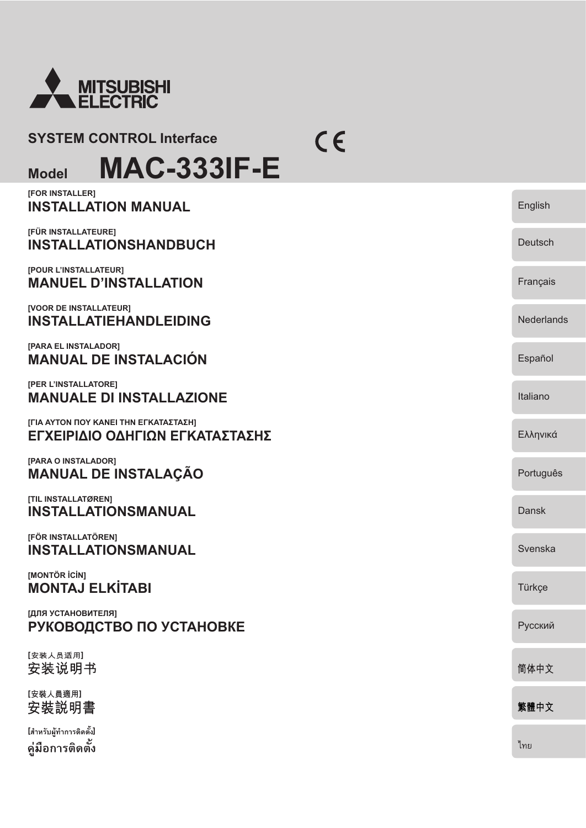

### **SYSTEM CONTROL Interface**

**Model MAC-333IF-E**

| [FOR INSTALLER]<br><b>INSTALLATION MANUAL</b>                            | English           |
|--------------------------------------------------------------------------|-------------------|
| [FÜR INSTALLATEURE]<br><b>INSTALLATIONSHANDBUCH</b>                      | Deutsch           |
| [POUR L'INSTALLATEUR]<br><b>MANUEL D'INSTALLATION</b>                    | Français          |
| [VOOR DE INSTALLATEUR]<br><b>INSTALLATIEHANDLEIDING</b>                  | <b>Nederlands</b> |
| [PARA EL INSTALADOR]<br><b>MANUAL DE INSTALACIÓN</b>                     | Español           |
| [PER L'INSTALLATORE]<br><b>MANUALE DI INSTALLAZIONE</b>                  | Italiano          |
| [ΓΙΑ ΑΥΤΟΝ ΠΟΥ ΚΑΝΕΙ ΤΗΝ ΕΓΚΑΤΑΣΤΑΣΗ]<br>ΕΓΧΕΙΡΙΔΙΟ ΟΔΗΓΙΩΝ ΕΓΚΑΤΑΣΤΑΣΗΣ | Ελληνικά          |
| [PARA O INSTALADOR]<br><b>MANUAL DE INSTALAÇÃO</b>                       | Português         |
| [TIL INSTALLATØREN]<br><b>INSTALLATIONSMANUAL</b>                        | Dansk             |
| [FÖR INSTALLATÖREN]<br><b>INSTALLATIONSMANUAL</b>                        | Svenska           |
| [MONTÖR İCİN]<br><b>MONTAJ ELKİTABI</b>                                  | Türkçe            |
| [ДЛЯ УСТАНОВИТЕЛЯ]<br>РУКОВОДСТВО ПО УСТАНОВКЕ                           | Русский           |
| [安装人员适用]<br>安装说明书                                                        | 简体中文              |
| [安裝人員適用]<br>安裝説明書                                                        | 繁體中文              |
| [สำหรับผู้ทำการติดตั้ง]<br>คู่มือการติดตั้ง                              | ไทย               |

 $C \in$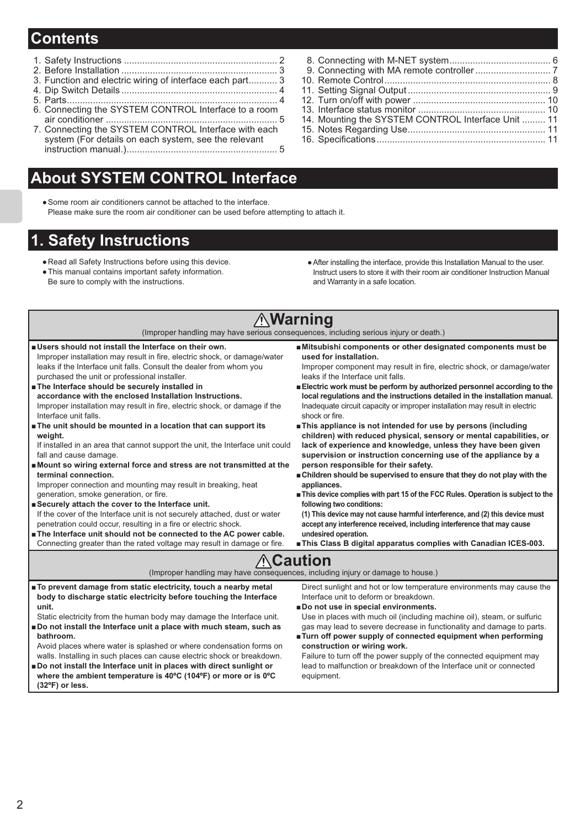## **Contents**

- 1. Safety Instructions ........................................................... 2
- 2. Before Installation ............................................................ 3
- 3. Function and electric wiring of interface each part........... 3
- 4. Dip Switch Details ............................................................ 4 5. Parts ................................................................................. 4
- 6. Connecting the SYSTEM CONTROL Interface to a room
- air conditioner .................................................................. 5 7. Connecting the SYSTEM CONTROL Interface with each system (For details on each system, see the relevant

instruction manual.) .......................................................... 5

walls. Installing in such places can cause electric shock or breakdown. **# Do not install the Interface unit in places with direct sunlight or where the ambient temperature is 40ºC (104ºF) or more or is 0ºC** 

## **About SYSTEM CONTROL Interface**

 Some room air conditioners cannot be attached to the interface. Please make sure the room air conditioner can be used before attempting to attach it.

## **1. Safety Instructions**

- Read all Safety Instructions before using this device.
- This manual contains important safety information. Be sure to comply with the instructions.
- After installing the interface, provide this Installation Manual to the user. Instruct users to store it with their room air conditioner Instruction Manual and Warranty in a safe location.

#### **Warning** (Improper handling may have serious consequences, including serious injury or death.) **# Users should not install the Interface on their own.** Improper installation may result in fire, electric shock, or damage/water leaks if the Interface unit falls. Consult the dealer from whom you purchased the unit or professional installer. **# The Interface should be securely installed in accordance with the enclosed Installation Instructions.** Improper installation may result in fire, electric shock, or damage if the Interface unit falls. **# The unit should be mounted in a location that can support its weight.** If installed in an area that cannot support the unit, the Interface unit could fall and cause damage. **# Mount so wiring external force and stress are not transmitted at the terminal connection.** Improper connection and mounting may result in breaking, heat generation, smoke generation, or fire. **# Securely attach the cover to the Interface unit.** If the cover of the Interface unit is not securely attached, dust or water penetration could occur, resulting in a fire or electric shock. **# The Interface unit should not be connected to the AC power cable.** Connecting greater than the rated voltage may result in damage or fire. **# Mitsubishi components or other designated components must be used for installation.** Improper component may result in fire, electric shock, or damage/water leaks if the Interface unit falls. **# Electric work must be perform by authorized personnel according to the local regulations and the instructions detailed in the installation manual.** Inadequate circuit capacity or improper installation may result in electric shock or fire. **# This appliance is not intended for use by persons (including children) with reduced physical, sensory or mental capabilities, or lack of experience and knowledge, unless they have been given supervision or instruction concerning use of the appliance by a person responsible for their safety. # Children should be supervised to ensure that they do not play with the appliances. # This device complies with part 15 of the FCC Rules. Operation is subject to the following two conditions: (1) This device may not cause harmful interference, and (2) this device must accept any interference received, including interference that may cause undesired operation. # This Class B digital apparatus complies with Canadian ICES-003. ∆**Caution (Improper handling may have consequences, including injury or damage to house.) **# To prevent damage from static electricity, touch a nearby metal body to discharge static electricity before touching the Interface unit.** Static electricity from the human body may damage the Interface unit. **# Do not install the Interface unit a place with much steam, such as bathroom.** Avoid places where water is splashed or where condensation forms on Direct sunlight and hot or low temperature environments may cause the Interface unit to deform or breakdown. **# Do not use in special environments.** Use in places with much oil (including machine oil), steam, or sulfuric gas may lead to severe decrease in functionality and damage to parts. **# Turn off power supply of connected equipment when performing construction or wiring work.**

Failure to turn off the power supply of the connected equipment may lead to malfunction or breakdown of the Interface unit or connected equipment.

9. Connecting with MA remote controller ............................. 7 10. Remote Control ................................................................ 8 11. Setting Signal Output ....................................................... 9 12. Turn on/off with power ................................................... 10 13. Interface status monitor ................................................. 10 14. Mounting the SYSTEM CONTROL Interface Unit ......... 11 15. Notes Regarding Use ..................................................... 11 16. Speci cations ................................................................. 11

8. Connecting with M-NET system ....................................... 6

**(32ºF) or less.**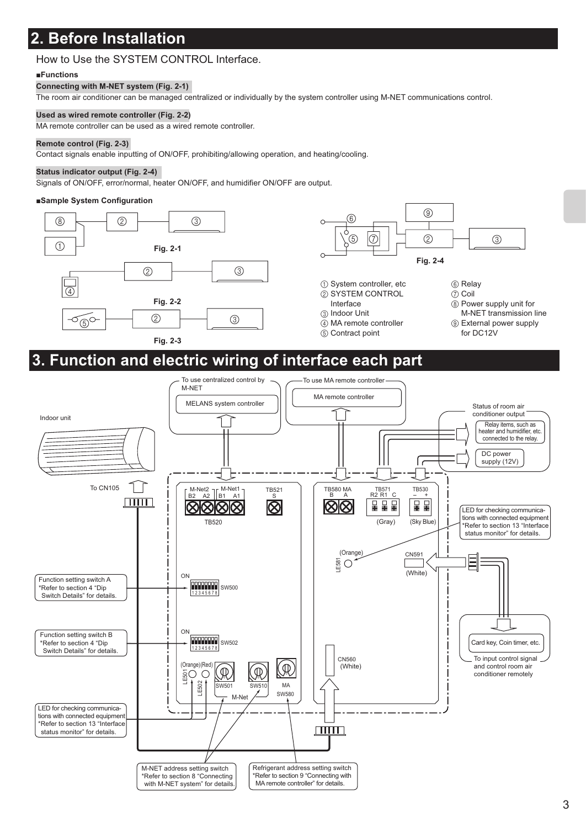## **2. Before Installation**

### How to Use the SYSTEM CONTROL Interface.

#### **#Functions**

#### **Connecting with M-NET system (Fig. 2-1)**

The room air conditioner can be managed centralized or individually by the system controller using M-NET communications control.

#### **Used as wired remote controller (Fig. 2-2)**

MA remote controller can be used as a wired remote controller.

#### **Remote control (Fig. 2-3)**

Contact signals enable inputting of ON/OFF, prohibiting/allowing operation, and heating/cooling.

#### **Status indicator output (Fig. 2-4)**

Signals of ON/OFF, error/normal, heater ON/OFF, and humidifier ON/OFF are output.

#### **#Sample System Configuration**

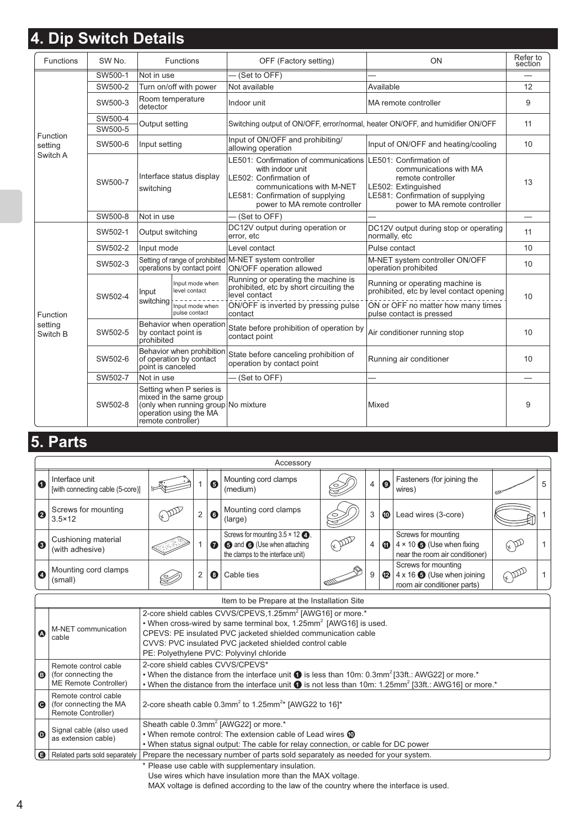# **4. Dip Switch Details**

| <b>Functions</b>    | SW <sub>No.</sub> |                                       | <b>Functions</b>                                                                                                     | OFF (Factory setting)                                                                                                                                                                 | ON                                                                                                                                                                | Refer to<br>section |
|---------------------|-------------------|---------------------------------------|----------------------------------------------------------------------------------------------------------------------|---------------------------------------------------------------------------------------------------------------------------------------------------------------------------------------|-------------------------------------------------------------------------------------------------------------------------------------------------------------------|---------------------|
|                     | SW500-1           | Not in use                            |                                                                                                                      | (Set to OFF)                                                                                                                                                                          |                                                                                                                                                                   |                     |
|                     | SW500-2           | Turn on/off with power                |                                                                                                                      | Not available                                                                                                                                                                         | Available                                                                                                                                                         | 12                  |
|                     | SW500-3           | Room temperature<br>detector          |                                                                                                                      | Indoor unit                                                                                                                                                                           | MA remote controller                                                                                                                                              | 9                   |
|                     | SW500-4           | Output setting                        |                                                                                                                      | Switching output of ON/OFF, error/normal, heater ON/OFF, and humidifier ON/OFF                                                                                                        |                                                                                                                                                                   | 11                  |
| Function            | SW500-5           |                                       |                                                                                                                      |                                                                                                                                                                                       |                                                                                                                                                                   |                     |
| setting             | SW500-6           | Input setting                         |                                                                                                                      | Input of ON/OFF and prohibiting/<br>allowing operation                                                                                                                                | Input of ON/OFF and heating/cooling                                                                                                                               | 10                  |
| Switch A            | SW500-7           | Interface status display<br>switching |                                                                                                                      | LE501: Confirmation of communications<br>with indoor unit<br>LE502: Confirmation of<br>communications with M-NET<br>LE581: Confirmation of supplying<br>power to MA remote controller | LE501: Confirmation of<br>communications with MA<br>remote controller<br>LE502: Extinguished<br>LE581: Confirmation of supplying<br>power to MA remote controller | 13                  |
|                     | SW500-8           | Not in use                            |                                                                                                                      | (Set to OFF)                                                                                                                                                                          |                                                                                                                                                                   |                     |
|                     | SW502-1           | Output switching                      |                                                                                                                      | DC12V output during operation or<br>error, etc                                                                                                                                        | DC12V output during stop or operating<br>normally, etc                                                                                                            | 11                  |
|                     | SW502-2           | Input mode                            |                                                                                                                      | Level contact                                                                                                                                                                         | Pulse contact                                                                                                                                                     | 10                  |
|                     | SW502-3           | operations by contact point           |                                                                                                                      | Setting of range of prohibited M-NET system controller<br>ON/OFF operation allowed                                                                                                    | M-NET system controller ON/OFF<br>operation prohibited                                                                                                            | 10                  |
|                     | SW502-4           | Input                                 | Input mode when<br>level contact                                                                                     | Running or operating the machine is<br>prohibited, etc by short circuiting the<br>level contact                                                                                       | Running or operating machine is<br>prohibited, etc by level contact opening                                                                                       | 10                  |
| Function            |                   | switching                             | Input mode when<br>pulse contact                                                                                     | ON/OFF is inverted by pressing pulse<br>contact                                                                                                                                       | ON or OFF no matter how many times<br>pulse contact is pressed                                                                                                    |                     |
| setting<br>Switch B | SW502-5           | by contact point is<br>prohibited     | Behavior when operation                                                                                              | State before prohibition of operation by<br>contact point                                                                                                                             | Air conditioner running stop                                                                                                                                      | 10                  |
|                     | SW502-6           | point is canceled                     | Behavior when prohibition<br>of operation by contact                                                                 | State before canceling prohibition of<br>operation by contact point                                                                                                                   | Running air conditioner                                                                                                                                           | 10                  |
|                     | SW502-7           | Not in use                            |                                                                                                                      | (Set to OFF)                                                                                                                                                                          |                                                                                                                                                                   |                     |
|                     | SW502-8           | remote controller)                    | Setting when P series is<br>mixed in the same group<br>(only when running group No mixture<br>operation using the MA |                                                                                                                                                                                       | Mixed                                                                                                                                                             | 9                   |

## **5. Parts**

|                  | Accessory                                          |  |   |   |                                                                                                                                   |                     |                |                       |                                                                                                    |    |
|------------------|----------------------------------------------------|--|---|---|-----------------------------------------------------------------------------------------------------------------------------------|---------------------|----------------|-----------------------|----------------------------------------------------------------------------------------------------|----|
| 0                | Interface unit<br>[with connecting cable (5-core)] |  |   | 6 | Mounting cord clamps<br>(medium)                                                                                                  |                     | $\overline{4}$ | $\boldsymbol{\Theta}$ | Fasteners (for joining the<br>wires)                                                               | -5 |
| $\boldsymbol{Q}$ | Screws for mounting<br>$3.5 \times 12$             |  | C | G | Mounting cord clamps<br>(large)                                                                                                   |                     | 3              | $\bf \Phi$            | Lead wires (3-core)                                                                                |    |
| €                | Cushioning material<br>(with adhesive)             |  |   | ❼ | Screws for mounting $3.5 \times 12$ $\bigcirc$<br><b>to</b> and <b>O</b> (Use when attaching<br>the clamps to the interface unit) | $\kappa\mathcal{D}$ | 4              | ⊕                     | Screws for mounting<br>$4 \times 10$ $\bigodot$ (Use when fixing<br>near the room air conditioner) |    |
| A                | Mounting cord clamps<br>(small)                    |  | C | 8 | Cable ties                                                                                                                        |                     |                | ⊕                     | Screws for mounting<br>$4 \times 16$ $\odot$ (Use when joining<br>room air conditioner parts)      |    |

|                       | Item to be Prepare at the Installation Site                          |                                                                                                                                                                                                                                                                                                                                 |  |  |  |  |  |
|-----------------------|----------------------------------------------------------------------|---------------------------------------------------------------------------------------------------------------------------------------------------------------------------------------------------------------------------------------------------------------------------------------------------------------------------------|--|--|--|--|--|
| $\boldsymbol{\Omega}$ | M-NET communication<br>cable                                         | 2-core shield cables CVVS/CPEVS, 1.25mm <sup>2</sup> [AWG16] or more.*<br>. When cross-wired by same terminal box, 1.25mm <sup>2</sup> [AWG16] is used.<br>CPEVS: PE insulated PVC jacketed shielded communication cable<br>CVVS: PVC insulated PVC jacketed shielded control cable<br>PE: Polyethylene PVC: Polyvinyl chloride |  |  |  |  |  |
| ◉                     | Remote control cable<br>for connecting the<br>ME Remote Controller)  | 2-core shield cables CVVS/CPEVS*<br>• When the distance from the interface unit $\bullet$ is less than 10m: 0.3mm <sup>2</sup> [33ft.: AWG22] or more.*<br>• When the distance from the interface unit $\bullet$ is not less than 10m: 1.25mm <sup>2</sup> [33ft.: AWG16] or more.*                                             |  |  |  |  |  |
| $\boldsymbol{\Theta}$ | Remote control cable<br>(for connecting the MA<br>Remote Controller) | 2-core sheath cable 0.3mm <sup>2</sup> to 1.25mm <sup>2*</sup> [AWG22 to 16]*                                                                                                                                                                                                                                                   |  |  |  |  |  |
| $\boldsymbol{\Omega}$ | Signal cable (also used<br>as extension cable)                       | Sheath cable 0.3mm <sup>2</sup> [AWG22] or more.*<br>• When remote control: The extension cable of Lead wires <b>10</b><br>. When status signal output: The cable for relay connection, or cable for DC power                                                                                                                   |  |  |  |  |  |
| $\Theta$              | Related parts sold separately                                        | Prepare the necessary number of parts sold separately as needed for your system.                                                                                                                                                                                                                                                |  |  |  |  |  |
|                       | * Dlagas usa sakla with supplementary insulation                     |                                                                                                                                                                                                                                                                                                                                 |  |  |  |  |  |

Please use cable with supplementary insulation.

Use wires which have insulation more than the MAX voltage.

MAX voltage is defined according to the law of the country where the interface is used.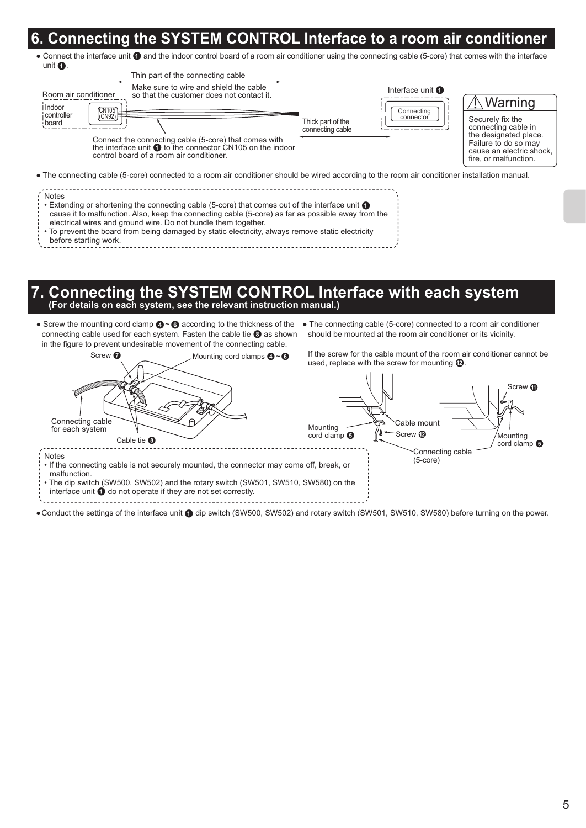### **6. Connecting the SYSTEM CONTROL Interface to a room air conditioner**

• Connect the interface unit  $\bigcirc$  and the indoor control board of a room air conditioner using the connecting cable (5-core) that comes with the interface unit **0**.

| Thin part of the connecting cable                                                                                                                                                                 |                                                                  |                                                                                                                                              |
|---------------------------------------------------------------------------------------------------------------------------------------------------------------------------------------------------|------------------------------------------------------------------|----------------------------------------------------------------------------------------------------------------------------------------------|
| Make sure to wire and shield the cable<br>Room air conditioner<br>so that the customer does not contact it.<br>I Indoor<br>CM105                                                                  | Interface unit <b>O</b>                                          | ∖ Warning                                                                                                                                    |
| controller<br>(CN92) $F$<br>board<br>Connect the connecting cable (5-core) that comes with<br>the interface unit to the connector CN105 on the indoor<br>control board of a room air conditioner. | Connecting<br>connector<br>Thick part of the<br>connecting cable | Securely fix the<br>connecting cable in<br>the designated place.<br>Failure to do so may<br>cause an electric shock<br>fire, or malfunction. |
| • The connecting cable (5-core) connected to a room air conditioner should be wired according to the room air conditioner installation manual.                                                    |                                                                  |                                                                                                                                              |

| : Notes                                                                                                |  |
|--------------------------------------------------------------------------------------------------------|--|
| : Extending or shortening the connecting cable (5-core) that comes out of the interface unit $\bullet$ |  |
| cause it to malfunction. Also, keep the connecting cable (5-core) as far as possible away from the     |  |
| electrical wires and ground wire. Do not bundle them together.                                         |  |
| • To prevent the board from being damaged by static electricity, always remove static electricity      |  |
| before starting work.                                                                                  |  |

#### before starting work.

# **7. Connecting the SYSTEM CONTROL Interface with each system (For details on each system, see the relevant instruction manual.)**

• Screw the mounting cord clamp  $\bigcirc$   $\bigcirc$  according to the thickness of the • The connecting cable (5-core) connected to a room air conditioner connecting cable used for each system. Fasten the cable tie <sup>8</sup> as shown in the figure to prevent undesirable movement of the connecting cable.

If the screw for the cable mount of the room air conditioner cannot be Screw  $\bullet$  Mounting cord clamps  $\bullet$   $\bullet$  If the screw for the cable mount of the room a<br>used, replace with the screw for mounting  $\bullet$ . Mounting cord clamps  $\mathbf{\Omega} \sim \mathbf{\Omega}$ Screw **m** Connecting cable Cable mount Mounting for each system Screw<sup>1</sup>  $\cot$  clamp  $\odot$ Mounting Cable tie <sup>®</sup>  $\cot$  clamp  $\odot$ ------Connecting cable Notes (5-core) • If the connecting cable is not securely mounted, the connector may come off, break, or malfunction. • The dip switch (SW500, SW502) and the rotary switch (SW501, SW510, SW580) on the interface unit  $\bigcirc$  do not operate if they are not set correctly. 

should be mounted at the room air conditioner or its vicinity.

Conduct the settings of the interface unit  $\bigcirc$  dip switch (SW500, SW502) and rotary switch (SW501, SW510, SW580) before turning on the power.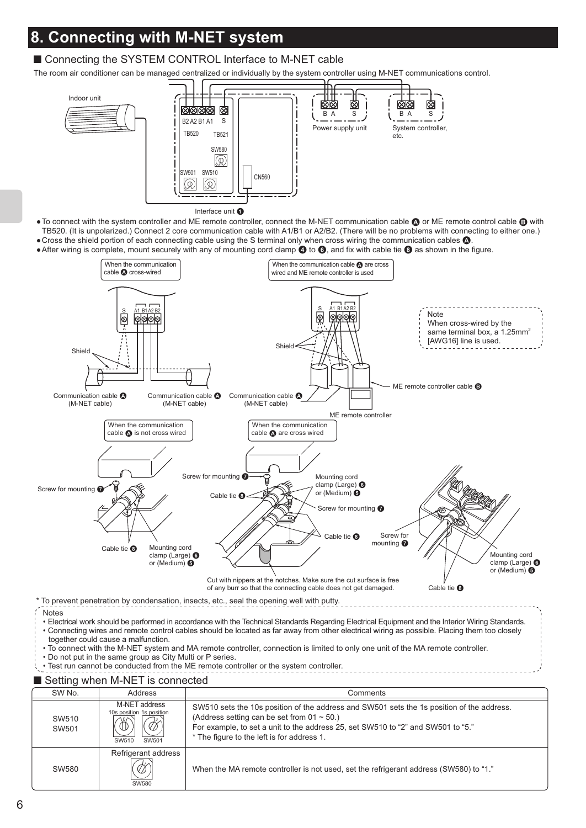## **8. Connecting with M-NET system**

### ■ Connecting the SYSTEM CONTROL Interface to M-NET cable

The room air conditioner can be managed centralized or individually by the system controller using M-NET communications control.



. To connect with the system controller and ME remote controller, connect the M-NET communication cable ● or ME remote control cable ● with TB520. (It is unpolarized.) Connect 2 core communication cable with A1/B1 or A2/B2. (There will be no problems with connecting to either one.) Cross the shield portion of each connecting cable using the S terminal only when cross wiring the communication cables  $\Omega$ .

After wiring is complete, mount securely with any of mounting cord clamp  $\bigcirc$  to  $\bigcirc$ , and fix with cable tie  $\bigcirc$  as shown in the figure.



• Connecting wires and remote control cables should be located as far away from other electrical wiring as possible. Placing them too closely together could cause a malfunction.

• To connect with the M-NET system and MA remote controller, connection is limited to only one unit of the MA remote controller.

• Do not put in the same group as City Multi or P series.

• Test run cannot be conducted from the ME remote controller or the system controller.

### ■ Setting when M-NET is connected

| SW No.         | Address                                                                 | Comments                                                                                                                                                                                                                                                                        |
|----------------|-------------------------------------------------------------------------|---------------------------------------------------------------------------------------------------------------------------------------------------------------------------------------------------------------------------------------------------------------------------------|
| SW510<br>SW501 | M-NET address<br>10s position 1s position<br>SW501<br>SW <sub>510</sub> | SW510 sets the 10s position of the address and SW501 sets the 1s position of the address.<br>(Address setting can be set from $01 \sim 50$ .)<br>For example, to set a unit to the address 25, set SW510 to "2" and SW501 to "5."<br>* The figure to the left is for address 1. |
| SW580          | Refrigerant address<br>, Fr<br>SW580                                    | When the MA remote controller is not used, set the refrigerant address (SW580) to "1."                                                                                                                                                                                          |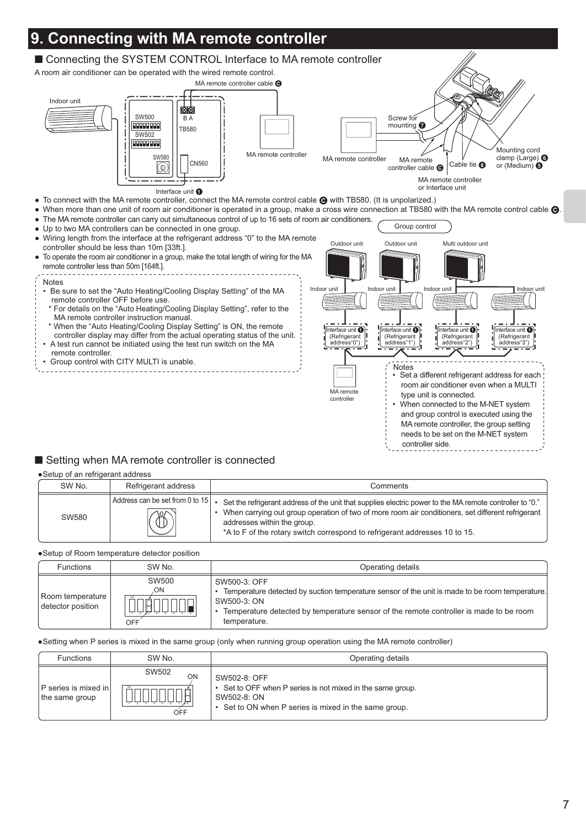

### ■ Setting when MA remote controller is connected

#### Setup of an refrigerant address

| SW No. | Refrigerant address                             | Comments                                                                                                                                                                                                                                                                                                                    |
|--------|-------------------------------------------------|-----------------------------------------------------------------------------------------------------------------------------------------------------------------------------------------------------------------------------------------------------------------------------------------------------------------------------|
| SW580  | Address can be set from 0 to 15<br>$\mathbb{B}$ | "Set the refrigerant address of the unit that supplies electric power to the MA remote controller to "0."<br>When carrying out group operation of two of more room air conditioners, set different refrigerant<br>addresses within the group.<br>*A to F of the rotary switch correspond to refrigerant addresses 10 to 15. |

Setup of Room temperature detector position

| <b>Functions</b>                      | SW No.             | Operating details                                                                                                                                                                                                                           |
|---------------------------------------|--------------------|---------------------------------------------------------------------------------------------------------------------------------------------------------------------------------------------------------------------------------------------|
| Room temperature<br>detector position | SW500<br>ON<br>OFF | SW500-3: OFF<br>• Temperature detected by suction temperature sensor of the unit is made to be room temperature.<br>SW500-3: ON<br>• Temperature detected by temperature sensor of the remote controller is made to be room<br>temperature. |

Setting when P series is mixed in the same group (only when running group operation using the MA remote controller)

| <b>Functions</b>                              | SW No.             | Operating details                                                                                                                                  |
|-----------------------------------------------|--------------------|----------------------------------------------------------------------------------------------------------------------------------------------------|
| <b>P</b> series is mixed in<br>the same group | SW502<br>ON<br>OFF | SW502-8: OFF<br>• Set to OFF when P series is not mixed in the same group.<br>SW502-8: ON<br>• Set to ON when P series is mixed in the same group. |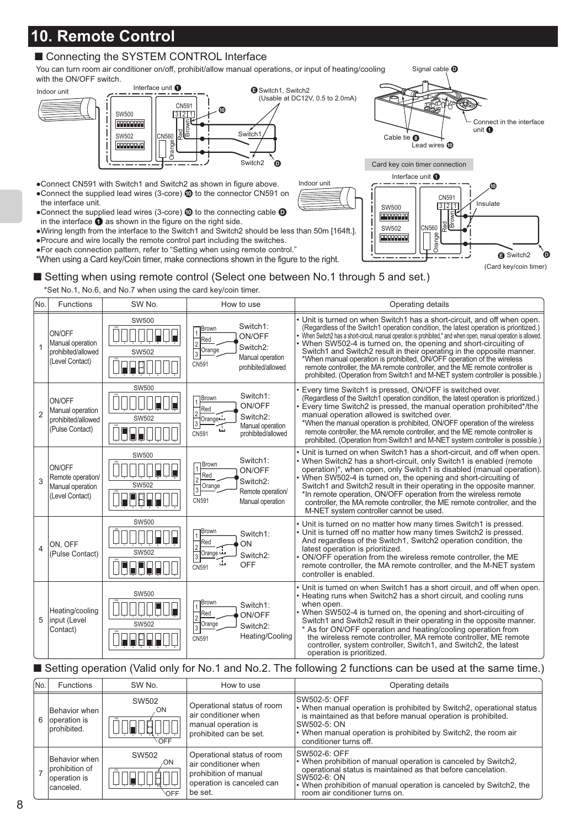## **10. Remote Control**

### ■ Connecting the SYSTEM CONTROL Interface

You can turn room air conditioner on/off, prohibit/allow manual operations, or input of heating/cooling with the ON/OFF switch.



- Connect CN591 with Switch1 and Switch2 as shown in figure above. • Connect the supplied lead wires (3-core)  $\omega$  to the connector CN591 on the interface unit.
- $\bullet$  Connect the supplied lead wires (3-core)  $\textcircled{1}$  to the connecting cable  $\textcircled{1}$ in the interface  $\bigcirc$  as shown in the figure on the right side.
- Wiring length from the interface to the Switch1 and Switch2 should be less than 50m [164ft.]. Procure and wire locally the remote control part including the switches.
- For each connection pattern, refer to "Setting when using remote control."

\*When using a Card key/Coin timer, make connections shown in the figure to the right.



■ Setting when using remote control (Select one between No.1 through 5 and set.)

\*Set No.1, No.6, and No.7 when using the card key/coin timer.

| No.            | Functions                                                           | SW <sub>No</sub> .           | How to use                                                                                                                     | Operating details                                                                                                                                                                                                                                                                                                                                                                                                                                                                                                                                                                                                                                                           |
|----------------|---------------------------------------------------------------------|------------------------------|--------------------------------------------------------------------------------------------------------------------------------|-----------------------------------------------------------------------------------------------------------------------------------------------------------------------------------------------------------------------------------------------------------------------------------------------------------------------------------------------------------------------------------------------------------------------------------------------------------------------------------------------------------------------------------------------------------------------------------------------------------------------------------------------------------------------------|
| 1              | ON/OFF<br>Manual operation<br>prohibited/allowed<br>(Level Contact) | <b>SW500</b><br><b>SW502</b> | Switch1:<br>Brown<br>ON/OFF<br>Red<br>Switch2:<br>Orange<br>3<br>Manual operation<br>CN591<br>prohibited/allowed               | • Unit is turned on when Switch1 has a short-circuit, and off when open.<br>(Regardless of the Switch1 operation condition, the latest operation is prioritized.)<br>• When Switch2 has a short-circuit, manual operation is prohibited,* and when open, manual operation is allowed.<br>When SW502-4 is turned on, the opening and short-circuiting of<br>Switch1 and Switch2 result in their operating in the opposite manner.<br>*When manual operation is prohibited, ON/OFF operation of the wireless<br>remote controller, the MA remote controller, and the ME remote controller is<br>prohibited. (Operation from Switch1 and M-NET system controller is possible.) |
| $\overline{2}$ | ON/OFF<br>Manual operation<br>prohibited/allowed<br>(Pulse Contact) | SW500<br>SW502               | Switch1:<br>Brown<br>ON/OFF<br>Red<br>$\overline{2}$<br>Switch2:<br>†Orange<br>Manual operation<br>CN591<br>prohibited/allowed | Every time Switch1 is pressed, ON/OFF is switched over.<br>(Regardless of the Switch1 operation condition, the latest operation is prioritized.)<br>Every time Switch2 is pressed, the manual operation prohibited*/the<br>manual operation allowed is switched over.<br>*When the manual operation is prohibited, ON/OFF operation of the wireless<br>remote controller, the MA remote controller, and the ME remote controller is<br>prohibited. (Operation from Switch1 and M-NET system controller is possible.)                                                                                                                                                        |
| 3              | ON/OFF<br>Remote operation/<br>Manual operation<br>(Level Contact)  | SW500<br><b>SW502</b>        | Switch1:<br>Brown<br>ON/OFF<br>Red<br>$\overline{2}$<br>Switch2:<br>3 Orange<br>Remote operation/<br>CN591<br>Manual operation | Unit is turned on when Switch1 has a short-circuit, and off when open.<br>. When Switch2 has a short-circuit, only Switch1 is enabled (remote<br>operation)*, when open, only Switch1 is disabled (manual operation).<br>. When SW502-4 is turned on, the opening and short-circuiting of<br>Switch1 and Switch2 result in their operating in the opposite manner.<br>*In remote operation, ON/OFF operation from the wireless remote<br>controller, the MA remote controller, the ME remote controller, and the<br>M-NET system controller cannot be used.                                                                                                                 |
| 4              | ON. OFF<br>(Pulse Contact)                                          | SW500<br>SW502               | Brown<br>Switch1:<br>Red<br>ON<br>Orange ப<br>Switch <sub>2</sub> :<br>alar<br>OFF<br>CN591                                    | • Unit is turned on no matter how many times Switch1 is pressed.<br>• Unit is turned off no matter how many times Switch2 is pressed.<br>And regardless of the Switch1, Switch2 operation condition, the<br>latest operation is prioritized.<br>ON/OFF operation from the wireless remote controller, the ME<br>remote controller, the MA remote controller, and the M-NET system<br>controller is enabled.                                                                                                                                                                                                                                                                 |
| 5              | Heating/cooling<br>input (Level<br>Contact)                         | <b>SW500</b><br>SW502        | Brown<br>Switch1:<br>Red<br>ON/OFF<br>Orange<br>Switch2:<br>3<br>Heating/Cooling<br>CN591                                      | . Unit is turned on when Switch1 has a short circuit, and off when open.<br>• Heating runs when Switch2 has a short circuit, and cooling runs<br>when open.<br>• When SW502-4 is turned on, the opening and short-circuiting of<br>Switch1 and Switch2 result in their operating in the opposite manner.<br>* As for ON/OFF operation and heating/cooling operation from<br>the wireless remote controller. MA remote controller. ME remote<br>controller, system controller, Switch1, and Switch2, the latest<br>operation is prioritized.                                                                                                                                 |

Indoor unit

### ■ Setting operation (Valid only for No.1 and No.2. The following 2 functions can be used at the same time.)

| INo. | <b>Functions</b>                                              | SW No.              | How to use                                                                                                          | Operating details                                                                                                                                                                                                                                                         |
|------|---------------------------------------------------------------|---------------------|---------------------------------------------------------------------------------------------------------------------|---------------------------------------------------------------------------------------------------------------------------------------------------------------------------------------------------------------------------------------------------------------------------|
| 6    | Behavior when<br>operation is<br>prohibited.                  | SW502<br>ON<br>OFF  | Operational status of room<br>air conditioner when<br>manual operation is<br>prohibited can be set.                 | ISW502-5: OFF<br>• When manual operation is prohibited by Switch2, operational status<br>is maintained as that before manual operation is prohibited.<br>SW502-5: ON<br>• When manual operation is prohibited by Switch2, the room air<br>conditioner turns off.          |
|      | Behavior when<br>prohibition of<br>loperation is<br>canceled. | SW502<br>ON.<br>OFF | Operational status of room<br>air conditioner when<br>prohibition of manual<br>operation is canceled can<br>be set. | ISW502-6: OFF<br>• When prohibition of manual operation is canceled by Switch2, operational status is maintained as that before cancelation.<br>SW502-6: ON<br>$\cdot$ When prohibition of manual operation is canceled by Switch2, the<br>room air conditioner turns on. |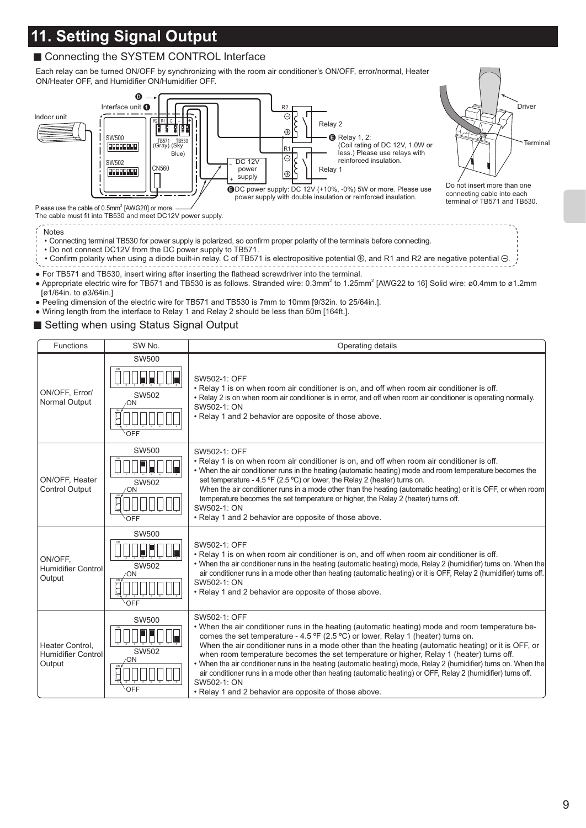## **11. Setting Signal Output**

### ■ Connecting the SYSTEM CONTROL Interface

Each relay can be turned ON/OFF by synchronizing with the room air conditioner's ON/OFF, error/normal, Heater ON/Heater OFF, and Humidifier ON/Humidifier OFF.



The cable must fit into TB530 and meet DC12V power supply.

--------------------------------

Notes • Connecting terminal TB530 for power supply is polarized, so confirm proper polarity of the terminals before connecting.

- Do not connect DC12V from the DC power supply to TB571.
- Confirm polarity when using a diode built-in relay. C of TB571 is electropositive potential  $\oplus$ , and R1 and R2 are negative potential  $\ominus$ .
- For TB571 and TB530, insert wiring after inserting the flathead screwdriver into the terminal.
- Appropriate electric wire for TB571 and TB530 is as follows. Stranded wire: 0.3mm<sup>2</sup> to 1.25mm<sup>2</sup> [AWG22 to 16] Solid wire: ø0.4mm to ø1.2mm [ø1/64in. to ø3/64in.]

<u>. . . . . . . . .</u>

- Peeling dimension of the electric wire for TB571 and TB530 is 7mm to 10mm [9/32in. to 25/64in.].
- Wiring length from the interface to Relay 1 and Relay 2 should be less than 50m [164ft.].
- Setting when using Status Signal Output

| Functions                                       | SW No.                             | Operating details                                                                                                                                                                                                                                                                                                                                                                                                                                                                                                                                                                                                                                                                                                                            |
|-------------------------------------------------|------------------------------------|----------------------------------------------------------------------------------------------------------------------------------------------------------------------------------------------------------------------------------------------------------------------------------------------------------------------------------------------------------------------------------------------------------------------------------------------------------------------------------------------------------------------------------------------------------------------------------------------------------------------------------------------------------------------------------------------------------------------------------------------|
| ON/OFF, Error/<br>Normal Output                 | <b>SW500</b><br>SW502<br>OΝ<br>OFF | SW502-1: OFF<br>. Relay 1 is on when room air conditioner is on, and off when room air conditioner is off.<br>• Relay 2 is on when room air conditioner is in error, and off when room air conditioner is operating normally.<br>SW502-1: ON<br>. Relay 1 and 2 behavior are opposite of those above.                                                                                                                                                                                                                                                                                                                                                                                                                                        |
| ON/OFF, Heater<br>Control Output                | <b>SW500</b><br>SW502<br>OFF       | SW502-1: OFF<br>. Relay 1 is on when room air conditioner is on, and off when room air conditioner is off.<br>. When the air conditioner runs in the heating (automatic heating) mode and room temperature becomes the<br>set temperature - 4.5 °F (2.5 °C) or lower, the Relay 2 (heater) turns on.<br>When the air conditioner runs in a mode other than the heating (automatic heating) or it is OFF, or when room<br>temperature becomes the set temperature or higher, the Relay 2 (heater) turns off.<br>SW502-1: ON<br>• Relay 1 and 2 behavior are opposite of those above.                                                                                                                                                          |
| ON/OFF.<br>Humidifier Control<br>Output         | <b>SW500</b><br>SW502<br>ΩN<br>OFF | SW502-1: OFF<br>. Relay 1 is on when room air conditioner is on, and off when room air conditioner is off.<br>. When the air conditioner runs in the heating (automatic heating) mode, Relay 2 (humidifier) turns on. When the<br>air conditioner runs in a mode other than heating (automatic heating) or it is OFF, Relay 2 (humidifier) turns off.<br>SW502-1: ON<br>. Relay 1 and 2 behavior are opposite of those above.                                                                                                                                                                                                                                                                                                                |
| Heater Control.<br>Humidifier Control<br>Output | <b>SW500</b><br>SW502<br>ωN        | SW502-1: OFF<br>. When the air conditioner runs in the heating (automatic heating) mode and room temperature be-<br>comes the set temperature - 4.5 $\textdegree$ (2.5 $\textdegree$ C) or lower, Relay 1 (heater) turns on.<br>When the air conditioner runs in a mode other than the heating (automatic heating) or it is OFF, or<br>when room temperature becomes the set temperature or higher, Relay 1 (heater) turns off.<br>. When the air conditioner runs in the heating (automatic heating) mode, Relay 2 (humidifier) turns on. When the<br>air conditioner runs in a mode other than heating (automatic heating) or OFF, Relay 2 (humidifier) turns off.<br>SW502-1: ON<br>. Relay 1 and 2 behavior are opposite of those above. |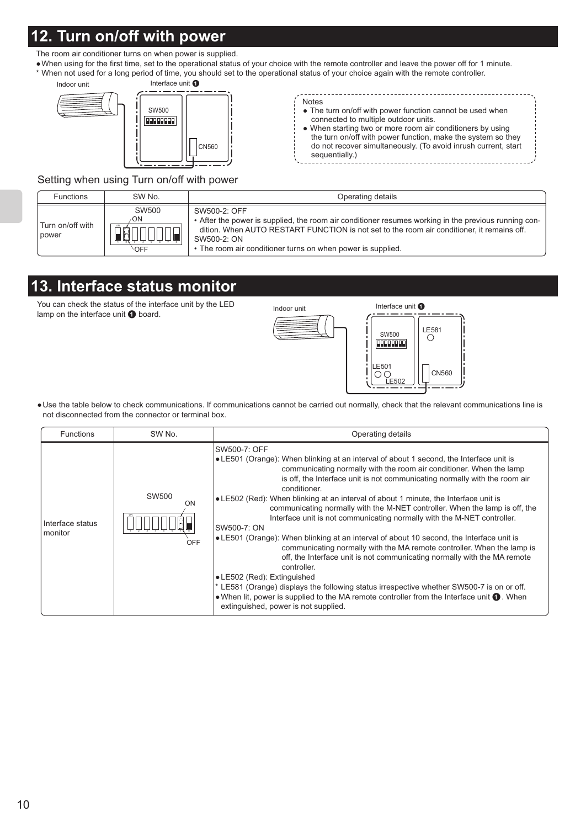## **12. Turn on/off with power**

The room air conditioner turns on when power is supplied.

 When using for the first time, set to the operational status of your choice with the remote controller and leave the power off for 1 minute. \* When not used for a long period of time, you should set to the operational status of your choice again with the remote controller.



| <b>Notes</b>                                                   |  |
|----------------------------------------------------------------|--|
| • The turn on/off with power function cannot be used when      |  |
| connected to multiple outdoor units.                           |  |
| • When starting two or more room air conditioners by using     |  |
| the turn on/off with power function, make the system so they   |  |
| do not recover simultaneously. (To avoid inrush current, start |  |
| sequentially.)                                                 |  |
|                                                                |  |

. . . . . . . . . . . . . . . . . . .

Setting when using Turn on/off with power

| <b>Functions</b>          | SW No.                            | Operating details                                                                                                                                                                                                                                                                                |
|---------------------------|-----------------------------------|--------------------------------------------------------------------------------------------------------------------------------------------------------------------------------------------------------------------------------------------------------------------------------------------------|
| Turn on/off with<br>power | SW500<br>۰ON<br><b>CIN</b><br>OFF | SW500-2: OFF<br>• After the power is supplied, the room air conditioner resumes working in the previous running con-<br>dition. When AUTO RESTART FUNCTION is not set to the room air conditioner, it remains off.<br>SW500-2: ON<br>• The room air conditioner turns on when power is supplied. |

## **13. Interface status monitor**

You can check the status of the interface unit by the LED Fou can check the status of the interface unit by the LED  $\frac{1 \text{ndoor unit}}{1 \text{ndoor unit}}$ 



 Use the table below to check communications. If communications cannot be carried out normally, check that the relevant communications line is not disconnected from the connector or terminal box.

| <b>Functions</b>            | SW No.             | Operating details                                                                                                                                                                                                                                                                                                                                                                                                                                                                                                                                                                                                                                                                                                                                                                                                                                                                                                                                                                                                                                                                               |
|-----------------------------|--------------------|-------------------------------------------------------------------------------------------------------------------------------------------------------------------------------------------------------------------------------------------------------------------------------------------------------------------------------------------------------------------------------------------------------------------------------------------------------------------------------------------------------------------------------------------------------------------------------------------------------------------------------------------------------------------------------------------------------------------------------------------------------------------------------------------------------------------------------------------------------------------------------------------------------------------------------------------------------------------------------------------------------------------------------------------------------------------------------------------------|
| Interface status<br>monitor | SW500<br>ON<br>OFF | SW500-7: OFF<br>• LE501 (Orange): When blinking at an interval of about 1 second, the Interface unit is<br>communicating normally with the room air conditioner. When the lamp<br>is off, the Interface unit is not communicating normally with the room air<br>conditioner.<br>•LE502 (Red): When blinking at an interval of about 1 minute, the Interface unit is<br>communicating normally with the M-NET controller. When the lamp is off, the<br>Interface unit is not communicating normally with the M-NET controller.<br>SW500-7: ON<br>$\bullet$ LE501 (Orange): When blinking at an interval of about 10 second, the Interface unit is<br>communicating normally with the MA remote controller. When the lamp is<br>off, the Interface unit is not communicating normally with the MA remote<br>controller.<br>• LE502 (Red): Extinguished<br>* LE581 (Orange) displays the following status irrespective whether SW500-7 is on or off.<br>• When lit, power is supplied to the MA remote controller from the Interface unit $\bullet$ . When<br>extinguished, power is not supplied. |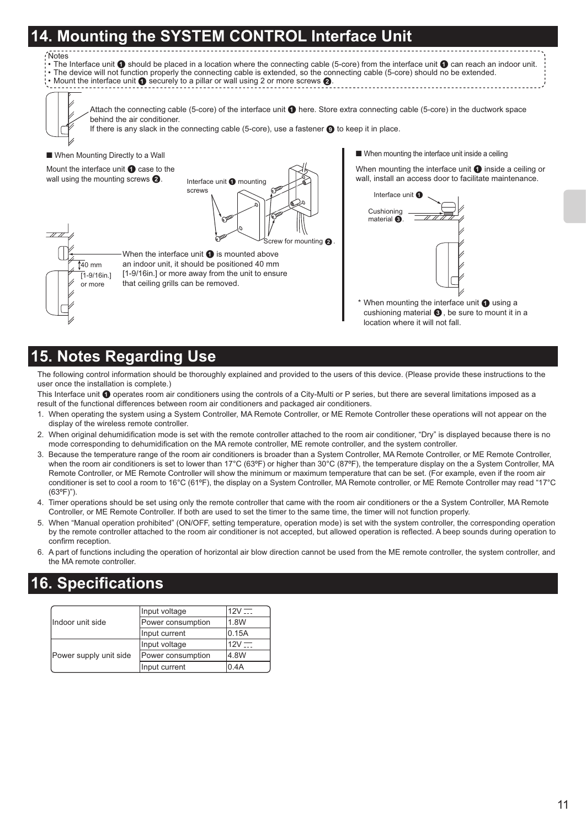## **14. Mounting the SYSTEM CONTROL Interface Unit**

When the interface unit  $\bigcirc$  is mounted above an indoor unit, it should be positioned 40 mm [1-9/16in.] or more away from the unit to ensure

that ceiling grills can be removed.

#### Notes

• The Interface unit  $\bf 0$  should be placed in a location where the connecting cable (5-core) from the interface unit  $\bf 0$  can reach an indoor unit. • The device will not function properly the connecting cable is extended, so the connecting cable (5-core) should no be extended.<br>• Mount the interface unit ❶ securely to a pillar or wall using 2 or more screws ❷.



Attach the connecting cable (5-core) of the interface unit  $\bigcirc$  here. Store extra connecting cable (5-core) in the ductwork space behind the air conditioner.



#### ■ When Mounting Directly to a Wall

Mount the interface unit  $\bigcirc$  case to the wall using the mounting screws  $\bigcirc$ .

> $\sqrt[4]{140}$  mm  $\overline{1}$ -9/16in.] or more

rew for mounting  $\Omega$ Interface unit  $\bullet$  mounting screws

■ When mounting the interface unit inside a ceiling

When mounting the interface unit  $\bigcirc$  inside a ceiling or wall, install an access door to facilitate maintenance.



\* When mounting the interface unit  $\bullet$  using a cushioning material  $\bigcirc$ , be sure to mount it in a location where it will not fall.

## **15. Notes Regarding Use**

The following control information should be thoroughly explained and provided to the users of this device. (Please provide these instructions to the user once the installation is complete.)

This Interface unit @ operates room air conditioners using the controls of a City-Multi or P series, but there are several limitations imposed as a result of the functional differences between room air conditioners and packaged air conditioners.

- 1. When operating the system using a System Controller, MA Remote Controller, or ME Remote Controller these operations will not appear on the display of the wireless remote controller.
- 2. When original dehumidification mode is set with the remote controller attached to the room air conditioner, "Dry" is displayed because there is no mode corresponding to dehumidification on the MA remote controller, ME remote controller, and the system controller.
- 3. Because the temperature range of the room air conditioners is broader than a System Controller, MA Remote Controller, or ME Remote Controller, when the room air conditioners is set to lower than 17°C (63°F) or higher than 30°C (87°F), the temperature display on the a System Controller, MA Remote Controller, or ME Remote Controller will show the minimum or maximum temperature that can be set. (For example, even if the room air conditioner is set to cool a room to 16°C (61ºF), the display on a System Controller, MA Remote controller, or ME Remote Controller may read "17°C (63ºF)").
- 4. Timer operations should be set using only the remote controller that came with the room air conditioners or the a System Controller, MA Remote Controller, or ME Remote Controller. If both are used to set the timer to the same time, the timer will not function properly.
- 5. When "Manual operation prohibited" (ON/OFF, setting temperature, operation mode) is set with the system controller, the corresponding operation by the remote controller attached to the room air conditioner is not accepted, but allowed operation is reflected. A beep sounds during operation to confirm reception.
- 6. A part of functions including the operation of horizontal air blow direction cannot be used from the ME remote controller, the system controller, and the MA remote controller.

### **16. Specifications**

|                        | Input voltage     | 12V   |
|------------------------|-------------------|-------|
| Indoor unit side       | Power consumption | 1.8W  |
|                        | Input current     | 0.15A |
|                        | Input voltage     | 12V   |
| Power supply unit side | Power consumption | 4.8W  |
|                        | Input current     | 0.4A  |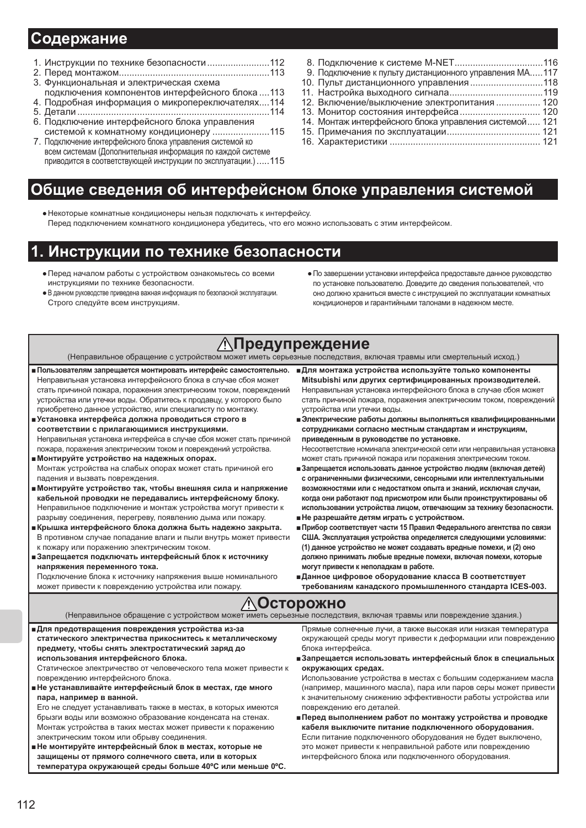### Содержание

- 1. Инструкции по технике безопасности ........................... 112
- 
- 3. Функциональная и электрическая схема
- подключения компонентов интерфейсного блока....113 4. Подробная информация о микропереключателях....114
- 
- 6. Подключение интерфейсного блока управления
- системой к комнатному кондиционеру .......................115
- 7. Подключение интерфейсного блока управления системой ко всем системам (Дополнительная информация по каждой системе приводится в соответствующей инструкции по эксплуатации.).....115
- 8. Подключение к системе M-NET.......................... 9. Подключение к пульту дистанционного управления МА.....117 10. Пульт дистанционного управления................................118 12. Включение/выключение электропитания................. 120 14. Монтаж интерфейсного блока управления системой..... 121
- 

## Общие сведения об интерфейсном блоке управления системой

• Некоторые комнатные кондиционеры нельзя подключать к интерфейсу. Перед подключением комнатного кондиционера убедитесь, что его можно использовать с этим интерфейсом.

### Инструкции по технике безопасности

- Перед началом работы с устройством ознакомьтесь со всеми инструкциями по технике безопасности.
- В данном руководстве приведена важная информация по безопасной эксплуатации. Строго следуйте всем инструкциям.
- По завершении установки интерфейса предоставьте данное руководство по установке пользователю. Доведите до сведения пользователей, что оно должно храниться вместе с инструкцией по эксплуатации комнатных кондиционеров и гарантийными талонами в надежном месте.

## ∕∖∖Предупреждение

(Неправильное обращение с устройством может иметь серьезные последствия, включая травмы или смертельный исход.)

- Пользователям запрещается монтировать интерфейс самостоятельно. Неправильная установка интерфейсного блока в случае сбоя может стать причиной пожара, поражения электрическим током, повреждений устройства или утечки воды. Обратитесь к продавцу, у которого было приобретено данное устройство, или специалисту по монтажу.
- ∎Установка интерфейса должна проводиться строго в соответствии с прилагающимися инструкциями. Неправильная установка интерфейса в случае сбоя может стать причиной пожара, поражения электрическим током и повреждений устройства. ■ Монтируйте устройство на надежных опорах.
- Монтаж устройства на слабых опорах может стать причиной его падения и вызвать повреждения.
- ∎Монтируйте устройство так, чтобы внешняя сила и напряжение кабельной проводки не передавались интерфейсному блоку. Неправильное подключение и монтаж устройства могут привести к разрыву соединения, перегреву, появлению дыма или пожару.
- ∎Крышка интерфейсного блока должна быть надежно закрыта. В противном случае попадание влаги и пыли внутрь может привести к пожару или поражению электрическим током.
- ∎Запрещается подключать интерфейсный блок к источнику напряжения переменного тока.

Подключение блока к источнику напряжения выше номинального может привести к повреждению устройства или пожару.

- ■Для монтажа устройства используйте только компоненты Mitsubishi или других сертифицированных производителей. Неправильная установка интерфейсного блока в случае сбоя может стать причиной пожара, поражения электрическим током, повреждений устройства или утечки воды.
- Электрические работы должны выполняться квалифицированными сотрудниками согласно местным стандартам и инструкциям. приведенным в руководстве по установке.

Несоответствие номинала электрической сети или неправильная установка может стать причиной пожара или поражения электрическим током.

- ■Запрещается использовать данное устройство людям (включая детей) с ограниченными физическими, сенсорными или интеллектуальными возможностями или с недостатком опыта и знаний, исключая случаи, когда они работают под присмотром или были проинструктированы об использовании устройства лицом, отвечающим за технику безопасности.
- Не разрешайте детям играть с устройством.
- Прибор соответствует части 15 Правил Федерального агентства по связи США. Эксплуатация устройства определяется следующими условиями: (1) данное устройство не может создавать вредные помехи, и (2) оно должно принимать любые вредные помехи, включая помехи, которые могут привести к неполадкам в работе.
- Данное цифровое оборудование класса В соответствует требованиям канадского промышленного стандарта ICES-003.

### **/!\Осторожно**

(Неправильное обращение с устройством может иметь серьезные последствия, включая травмы или повреждение здания.)

∎Для предотвращения повреждения устройства из-за статического электричества прикоснитесь к металлическому предмету, чтобы снять электростатический заряд до использования интерфейсного блока.

Статическое электричество от человеческого тела может привести к повреждению интерфейсного блока.

∎Не устанавливайте интерфейсный блок в местах, где много пара, например в ванной.

Его не следует устанавливать также в местах, в которых имеются брызги воды или возможно образование конденсата на стенах. Монтаж устройства в таких местах может привести к поражению электрическим током или обрыву соединения.

∎Не монтируйте интерфейсный блок в местах, которые не защищены от прямого солнечного света, или в которых температура окружающей среды больше 40°С или меньше 0°С. Прямые солнечные лучи, а также высокая или низкая температура окружающей среды могут привести к деформации или повреждению блока интерфейса.

■Запрещается использовать интерфейсный блок в специальных окружающих средах.

Использование устройства в местах с большим содержанием масла (например, машинного масла), пара или паров серы может привести к значительному снижению эффективности работы устройства или повреждению его деталей.

∎Перед выполнением работ по монтажу устройства и проводке кабеля выключите питание подключенного оборудования. Если питание подключенного оборудования не будет выключено, это может привести к неправильной работе или повреждению интерфейсного блока или подключенного оборудования.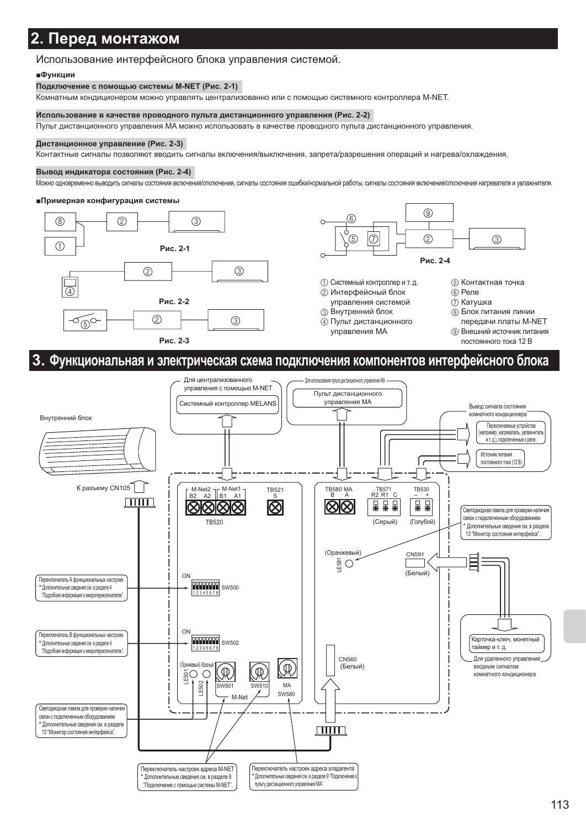### 2. Перед монтажом

#### Использование интерфейсного блока управления системой.

#### **∎Функции**

#### Подключение с помощью системы M-NET (Рис. 2-1)

Комнатным кондиционером можно управлять централизованно или с помощью системного контроллера M-NET.

#### Использование в качестве проводного пульта дистанционного управления (Рис. 2-2)

Пульт дистанционного управления МА можно использовать в качестве проводного пульта дистанционного управления.

#### Дистанционное управление (Рис. 2-3)

Контактные сигналы позволяют вводить сигналы включения/выключения, запрета/разрешения операций и нагрева/охлаждения.

#### Вывод индикатора состояния (Рис. 2-4)

Можно одновременно выводить сигналы состояния включения/отключения, сигналы состояния ошибки/нормальной работы, сигналы состояния включения/отключения нагревателя и увлажнителя.

#### ■Примерная конфигурация системы



![](_page_12_Figure_13.jpeg)

- 1) Системный контроллер и т. д. 2 Интерфейсный блок
- управления системой
- **3** Внутренний блок 4) Пульт дистанционного управления МА

5 Контактная точка

- 6 Реле
- (7) Катушка
- (8) Блок питания линии передачи платы M-NET
- **9** Внешний источник питания постоянного тока 12 В

### 3. Функциональная и электрическая схема подключения компонентов интерфейсного блока

![](_page_12_Figure_23.jpeg)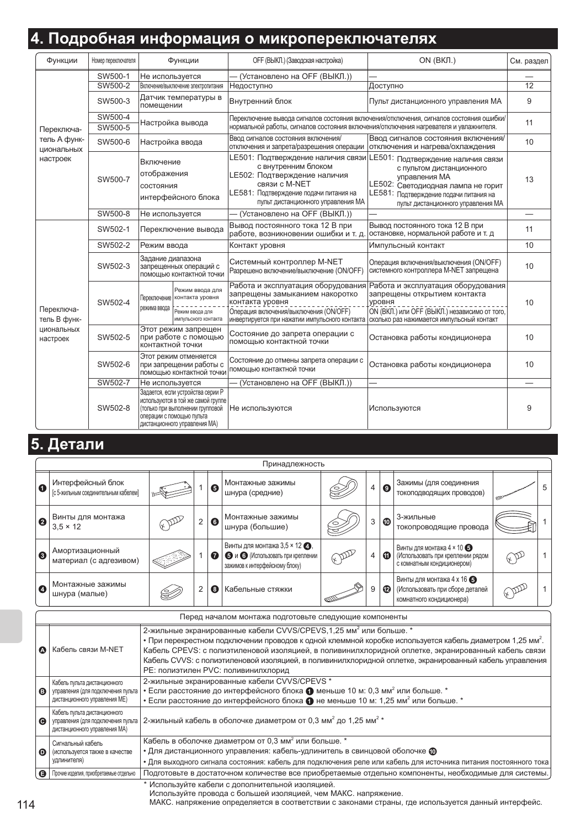## 4. Подробная информация о микропереключателях

| Функции                    | Номер переключателя | Функции                                                                                                                                                                   | ОГГ (ВЫКЛ.) (Заводская настройка)                                                                                                                                                          | ON (BKJI.)                                                                                                                                                                                            | См. раздел      |
|----------------------------|---------------------|---------------------------------------------------------------------------------------------------------------------------------------------------------------------------|--------------------------------------------------------------------------------------------------------------------------------------------------------------------------------------------|-------------------------------------------------------------------------------------------------------------------------------------------------------------------------------------------------------|-----------------|
|                            | SW500-1             | Не используется                                                                                                                                                           | (Установлено на ОFF (ВЫКЛ.))                                                                                                                                                               |                                                                                                                                                                                                       |                 |
|                            | SW500-2             | Включение/выключение электропитания                                                                                                                                       | Недоступно                                                                                                                                                                                 | Доступно                                                                                                                                                                                              | $\overline{12}$ |
|                            | SW500-3             | Датчик температуры в<br>помещении                                                                                                                                         | Внутренний блок                                                                                                                                                                            | Пульт дистанционного управления МА                                                                                                                                                                    | 9               |
|                            | SW500-4             | Настройка вывода                                                                                                                                                          |                                                                                                                                                                                            | Переключение вывода сигналов состояния включения/отключения, сигналов состояния ошибки/                                                                                                               | 11              |
| Переключа-                 | SW500-5             |                                                                                                                                                                           | нормальной работы, сигналов состояния включения/отключения нагревателя и увлажнителя.                                                                                                      |                                                                                                                                                                                                       |                 |
| тель А функ-<br>циональных | SW500-6             | Настройка ввода                                                                                                                                                           | Ввод сигналов состояния включения/<br>отключения и запрета/разрешения операции                                                                                                             | Ввод сигналов состояния включения/<br>отключения и нагрева/охлаждения                                                                                                                                 | 10              |
| настроек                   | SW500-7             | Включение<br>отображения<br>СОСТОЯНИЯ<br>интерфейсного блока                                                                                                              | LE501: Подтверждение наличия связи<br>с внутренним блоком<br>LE502: Подтверждение наличия<br>связи с M-NET<br>LE581: Подтверждение подачи питания на<br>пульт дистанционного управления МА | LE501: Подтверждение наличия связи<br>с пультом дистанционного<br>управления МА<br>LE502: Светодиодная лампа не горит<br>LE581: Подтверждение подачи питания на<br>пульт дистанционного управления МА | 13              |
|                            | SW500-8             | Не используется                                                                                                                                                           | (Установлено на ОГГ (ВЫКЛ.))                                                                                                                                                               |                                                                                                                                                                                                       |                 |
|                            | SW502-1             | Переключение вывода                                                                                                                                                       | Вывод постоянного тока 12 В при<br>работе, возникновении ошибки и т. д.                                                                                                                    | Вывод постоянного тока 12 В при<br>остановке, нормальной работе и т. д                                                                                                                                | 11              |
|                            | SW502-2             | Режим ввода                                                                                                                                                               | Контакт уровня                                                                                                                                                                             | Импульсный контакт                                                                                                                                                                                    | 10              |
|                            | SW502-3             | Задание диапазона<br>запрещенных операций с<br>помощью контактной точки                                                                                                   | Системный контроллер M-NET<br>Разрешено включение/выключение (ON/OFF)                                                                                                                      | Операция включения/выключения (ON/OFF)<br>системного контроллера M-NET запрещена                                                                                                                      | 10 <sup>1</sup> |
| Переключа-<br>тель В функ- | SW502-4             | Режим ввода для<br>Переключение контакта уровня<br>режима ввода<br>Режим ввода для<br>импульсного контакта                                                                | Работа и эксплуатация оборудования<br>запрещены замыканием накоротко<br>контакта уровня<br>Операция включения/выключения (ON/OFF)<br>инвертируется при нажатии импульсного контакта        | Работа и эксплуатация оборудования<br>запрещены открытием контакта<br><b>УРОВНЯ</b><br>ON (ВКЛ.) или OFF (ВЫКЛ.) независимо от того,<br>сколько раз нажимается импульсный контакт                     | 10 <sup>1</sup> |
| циональных<br>настроек     | SW502-5             | Этот режим запрещен<br>при работе с помощью<br>контактной точки                                                                                                           | Состояние до запрета операции с<br>помощью контактной точки                                                                                                                                | Остановка работы кондиционера                                                                                                                                                                         | 10              |
|                            | SW502-6             | Этот режим отменяется<br>при запрещении работы с<br>помощью контактной точки                                                                                              | Состояние до отмены запрета операции с<br>помощью контактной точки                                                                                                                         | Остановка работы кондиционера                                                                                                                                                                         | 10 <sup>1</sup> |
|                            | SW502-7             | Не используется                                                                                                                                                           | (Установлено на ОFF (ВЫКЛ.))                                                                                                                                                               |                                                                                                                                                                                                       |                 |
|                            | SW502-8             | Задается, если устройства серии Р<br>используются в той же самой группе<br>(только при выполнении групповой<br>операции с помощью пульта<br>Дистанционного управления МА) | Не используются                                                                                                                                                                            | Используются                                                                                                                                                                                          | 9               |

## 5. Детали

|   | Принадлежность                                            |  |   |   |                                                                                                                       |   |                |                       |                                                                                               |   |
|---|-----------------------------------------------------------|--|---|---|-----------------------------------------------------------------------------------------------------------------------|---|----------------|-----------------------|-----------------------------------------------------------------------------------------------|---|
| O | Интерфейсный блок<br>[с 5-жильным соединительным кабелем] |  |   | ❺ | Монтажные зажимы<br>шнура (средние)                                                                                   | ⊝ | 4              | $\boldsymbol{\Theta}$ | Зажимы (для соединения<br>токоподводящих проводов)                                            | 5 |
| 2 | Винты для монтажа<br>$3.5 \times 12$                      |  | 2 | 0 | Монтажные зажимы<br>шнура (большие)                                                                                   |   | 3              | ◍                     | 3-жильные<br>токопроводящие провода                                                           |   |
| 0 | Амортизационный<br>материал (с адгезивом)                 |  |   | ➊ | Винты для монтажа $3.5 \times 12$ $\bigcirc$ .<br>• и • (Использовать при креплении<br>зажимов к интерфейсному блоку) |   | $\overline{4}$ | ⋒                     | Винты для монтажа 4 × 10 5<br>(Использовать при креплении рядом<br>с комнатным кондиционером) |   |
| Ø | Монтажные зажимы<br>шнура (малые)                         |  | 2 | 0 | Кабельные стяжки                                                                                                      | 的 | 9              | ®                     | Винты для монтажа 4 х 16 6<br>(Использовать при сборе деталей<br>комнатного кондиционера)     |   |

|   | I Iеред началом монтажа подготовьте следующие компоненты                                            |                                                                                                                                                                                                                                                                                                                                                                                                                                                                   |  |  |  |  |
|---|-----------------------------------------------------------------------------------------------------|-------------------------------------------------------------------------------------------------------------------------------------------------------------------------------------------------------------------------------------------------------------------------------------------------------------------------------------------------------------------------------------------------------------------------------------------------------------------|--|--|--|--|
| ☎ | Кабель связи M-NET                                                                                  | 2-жильные экранированные кабели CVVS/CPEVS, 1, 25 мм <sup>2</sup> или больше. *<br>• При перекрестном подключении проводов к одной клеммной коробке используется кабель диаметром 1,25 мм <sup>2</sup> .<br>Кабель CPEVS: с полиэтиленовой изоляцией, в поливинилхлоридной оплетке, экранированный кабель связи<br>Кабель CVVS: с полиэтиленовой изоляцией, в поливинилхлоридной оплетке, экранированный кабель управления<br>РЕ: полиэтилен PVC: поливинилхлорид |  |  |  |  |
| ◉ | Кабель пульта дистанционного<br>управления (для подключения пульта<br>дистанционного управления ME) | 2-жильные экранированные кабели CVVS/CPEVS *<br>• Если расстояние до интерфейсного блока $\bigoplus$ меньше 10 м: 0,3 мм <sup>2</sup> или больше. *<br>• Если расстояние до интерфейсного блока $\bigcirc$ не меньше 10 м: 1,25 мм <sup>2</sup> или больше. *                                                                                                                                                                                                     |  |  |  |  |
| Θ | Кабель пульта дистанционного<br>управления (для подключения пульта<br>дистанционного управления МА) | 2-жильный кабель в оболочке диаметром от 0,3 мм <sup>2</sup> до 1,25 мм <sup>2</sup> *                                                                                                                                                                                                                                                                                                                                                                            |  |  |  |  |
| 0 | Сигнальный кабель<br>(используется также в качестве<br>удлинителя)                                  | Кабель в оболочке диаметром от 0,3 мм <sup>2</sup> или больше. *<br>• Для дистанционного управления: кабель-удлинитель в свинцовой оболочке $\textcircled{\tiny{D}}$<br>• Для выходного сигнала состояния: кабель для подключения реле или кабель для источника питания постоянного тока                                                                                                                                                                          |  |  |  |  |
| A | Прочие изделия, приобретаемые отдельно                                                              | Подготовьте в достаточном количестве все приобретаемые отдельно компоненты, необходимые для системы.                                                                                                                                                                                                                                                                                                                                                              |  |  |  |  |
|   |                                                                                                     | * Используйте кабели с дополнительной изоляцией.                                                                                                                                                                                                                                                                                                                                                                                                                  |  |  |  |  |

Используйте провода с большей изоляцией, чем МАКС. напряжение.

МАКС. напряжение определяется в соответствии с законами страны, где используется данный интерфейс.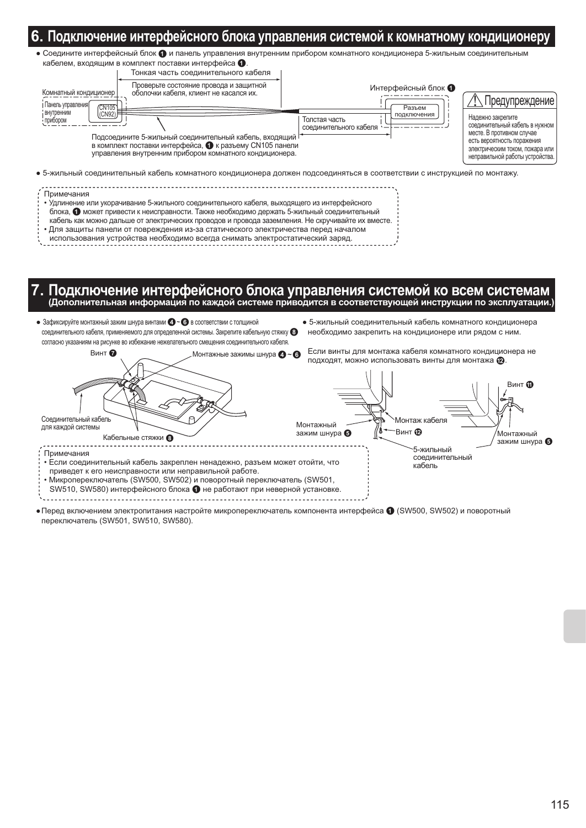### ]одключение интерфейсного блока управления системой к комнатному кондиционер

• Соедините интерфейсный блок • и панель управления внутренним прибором комнатного кондиционера 5-жильным соединительным кабелем, входящим в комплект поставки интерфейса •

| Тонкая часть соединительного кабеля                                                                                                                                                                                            |                                                        |                                                                                                                                                                                      |
|--------------------------------------------------------------------------------------------------------------------------------------------------------------------------------------------------------------------------------|--------------------------------------------------------|--------------------------------------------------------------------------------------------------------------------------------------------------------------------------------------|
| Проверьте состояние провода и защитной<br>Комнатный кондиционер<br>оболочки кабеля, клиент не касался их.<br>Панель управления<br>CN1051                                                                                       | Интерфейсный блок •<br>Разъем                          | Предупреждение                                                                                                                                                                       |
| Внутренним<br>(CN92)<br>прибором<br>Подсоедините 5-жильный соединительный кабель, входящий <sup> </sup><br>в комплект поставки интерфейса, • к разъему CN105 панели<br>управления внутренним прибором комнатного кондиционера. | подключения<br>Толстая часть<br>соединительного кабеля | Надежно закрепите<br>соединительный кабель в нужном<br>месте. В противном случае<br>есть вероятность поражения<br>электрическим током, пожара или<br>неправильной работы устройства. |
| • 5-жильный соединительный кабель комнатного кондиционера должен подсоединяться в соответствии с инструкцией по монтажу.                                                                                                       |                                                        |                                                                                                                                                                                      |
| Примечания<br>• Удлинение или укорачивание 5-жильного соединительного кабеля, выходящего из интерфейсного<br>блока, • может привести к неисправности. Также необходимо держать 5-жильный соединительный                        |                                                        |                                                                                                                                                                                      |

- кабель как можно дальше от электрических проводов и провода заземления. Не скручивайте их вместе.
- Для защиты панели от повреждения из-за статического электричества перед началом
- использования устройства необходимо всегда снимать электростатический заряд.

. Подключение интерфейсного блока управления системой ко всем системам и продключение интерфейсного блока управления системой ко всем системам

- Зафиксируйте монтажный зажим шнура винтами  $\bigcirc$   $\bigcirc$  в соответствии с толщиной соединительного кабеля, применяемого для определенной системы. Закрепите кабельную стяжку согласно указаниям на рисунке во избежание нежелательного смещения соединительного кабеля.
- 5-жильный соединительный кабель комнатного кондиционера необходимо закрепить на кондиционере или рядом с ним.

![](_page_14_Figure_9.jpeg)

• Перед включением электропитания настройте микропереключатель компонента интерфейса ( (SW500, SW502) и поворотный переключатель (SW501, SW510, SW580).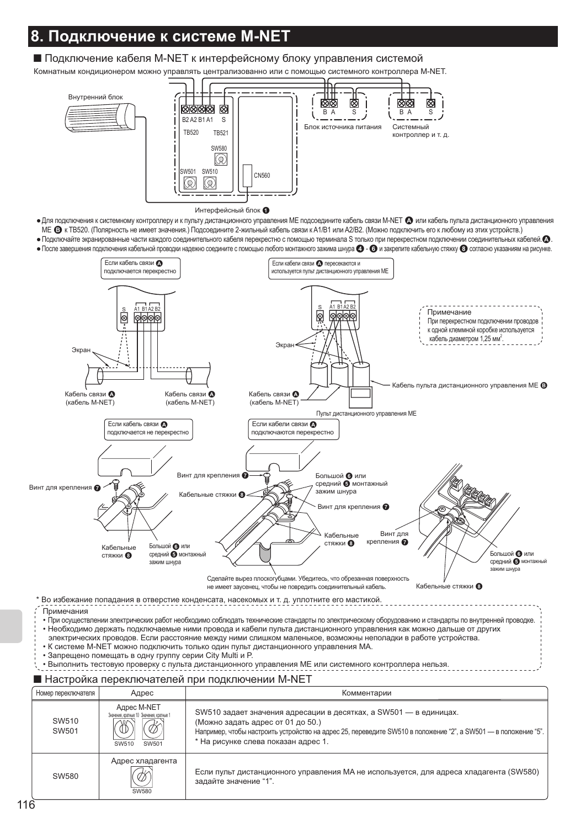## **Подключение к системе M-NET**

### ■ Подключение кабеля M-NET к интерфейсному блоку управления системой

Комнатным кондиционером можно управлять централизованно или с помощью системного контроллера M-NET.

![](_page_15_Figure_3.jpeg)

- Для подключения к системному контроллеру и к пульту дистанционного управления МЕ подсоедините кабель связи М-NET @ или кабель пульта дистанционного управления МЕ В к ТВ520. (Полярность не имеет значения.) Подсоедините 2-жильный кабель связи к А1/В1 или А2/В2. (Можно подключить его к любому из этих устройств.)
- Подключайте экранированные части каждого соединительного кабеля перекрестно с помощью терминала S только при перекрестном подключении соединительных кабелей.  $\Omega$ . • После завершения подключения кабельной проводки надежно соедините с помощью любого монтажного зажима шнура ( 3 и закрепите кабельную стяжку @ согласно указаниям на рисунке.

![](_page_15_Figure_6.jpeg)

- Запрещено помещать в одну группу серии City Multi и P.
- Выполнить тестовую проверку с пульта дистанционного управления МЕ или системного контроллера нельзя.

### ■ Настройка переключателей при подключении M-NET

| Номер переключателя | Адрес                                                                     | Комментарии                                                                                                                                                                                                                                                     |
|---------------------|---------------------------------------------------------------------------|-----------------------------------------------------------------------------------------------------------------------------------------------------------------------------------------------------------------------------------------------------------------|
| SW510<br>SW501      | Адрес M-NET<br>Значения, кратные 10 Значения, кратные 1<br>SW501<br>SW510 | SW510 задает значения адресации в десятках, а SW501 — в единицах.<br>(Можно задать адрес от 01 до 50.)<br>Например, чтобы настроить устройство на адрес 25, переведите SW510 в положение "2", а SW501 — в положение "5".<br>* На рисунке слева показан адрес 1. |
| SW580               | Адрес хладагента<br><b>SW580</b>                                          | Если пульт дистанционного управления МА не используется, для адреса хладагента (SW580)<br>задайте значение "1".                                                                                                                                                 |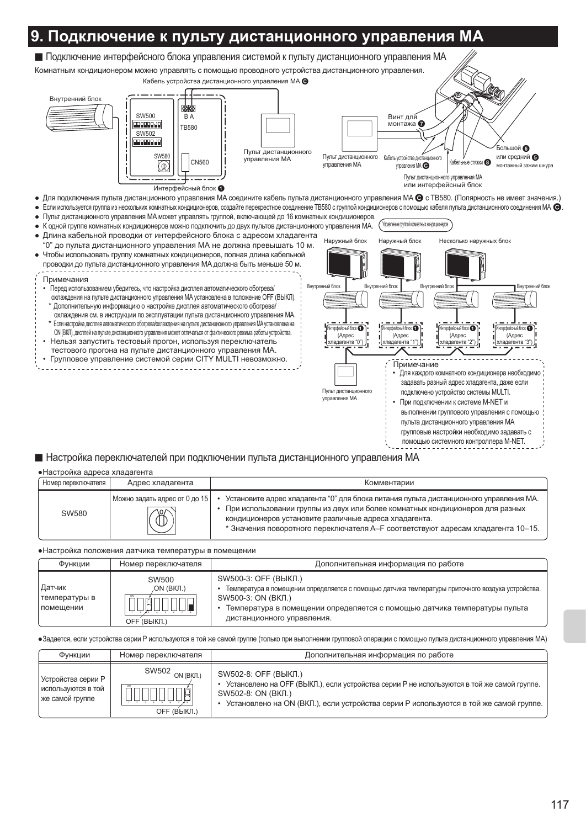### Подключение к пульту дистанционного управления МА

![](_page_16_Figure_1.jpeg)

### ■ Настройка переключателей при подключении пульта дистанционного управления МА

#### • Настройка адреса хладагента

| Номер переключателя | Адрес хладагента                               | Комментарии                                                                                                                                                                                                                                                                                                          |
|---------------------|------------------------------------------------|----------------------------------------------------------------------------------------------------------------------------------------------------------------------------------------------------------------------------------------------------------------------------------------------------------------------|
| SW580               | Иожно задать адрес от 0 до 15<br>$\mathcal{B}$ | Установите адрес хладагента "0" для блока питания пульта дистанционного управления МА.<br>При использовании группы из двух или более комнатных кондиционеров для разных<br>кондиционеров установите различные адреса хладагента.<br>* Значения поворотного переключателя A-F соответствуют адресам хладагента 10-15. |

• Настройка положения датчика температуры в помещении

| Функции                                       | Номер переключателя                | Дополнительная информация по работе                                                                                                                                                                                                                        |
|-----------------------------------------------|------------------------------------|------------------------------------------------------------------------------------------------------------------------------------------------------------------------------------------------------------------------------------------------------------|
| Датчик<br>температуры в<br><b>І помешении</b> | SW500<br>.on (вкл.)<br>OFF (ВЫКЛ.) | SW500-3: OFF (ВЫКЛ.)<br>Температура в помещении определяется с помощью датчика температуры приточного воздуха устройства.<br>SW500-3: ON (ВКЛ.)<br>Температура в помещении определяется с помощью датчика температуры пульта<br>дистанционного управления. |

•Задается, если устройства серии Р используются в той же самой группе (только при выполнении групповой операции с помощью пульта дистанционного управления МА)

| Функции                                                     | Номер переключателя            | Дополнительная информация по работе                                                                                                                                                                                               |
|-------------------------------------------------------------|--------------------------------|-----------------------------------------------------------------------------------------------------------------------------------------------------------------------------------------------------------------------------------|
| Устройства серии Р<br>используются в той<br>же самой группе | SW502 ON (BKJ.)<br>OFF (ВЫКЛ.) | SW502-8: ОFF (ВЫКЛ.)<br>Установлено на ОГГ (ВЫКЛ.), если устройства серии Р не используются в той же самой группе.<br>SW502-8: ON (ВКЛ.)<br>Установлено на ОН (ВКЛ.), если устройства серии P используются в той же самой группе. |

помощью системного контроллера M-NET.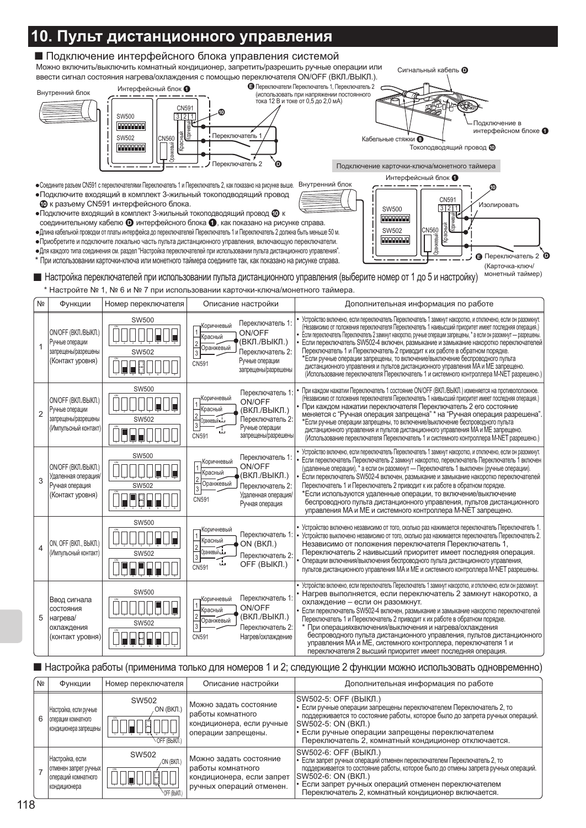#### 0. Пульт дистанционного управления ■ Подключение интерфейсного блока управления системой Можно включить/выключить комнатный кондиционер, запретить/разрешить ручные операции или Сигнальный кабель П ввести сигнал состояния нагрева/охлаждения с помощью переключателя ON/OFF (ВКЛ./ВЫКЛ.). • Переключатели Переключатель 1, Переключатель 2 Интерфейсный блок • Внутренний блок (использовать при напряжении постоянного гока 12 В и токе от 0,5 до 2,0 мА) **CN591 SW500**  $3|2|1$ 00000000 Полключение в интерфейсном блоке Переключатель 1 **SW502**  $2N560$ Кабельные стяжки В **Dooppool** Reads Токоподводящий провод Ф Переключатель 2 Подключение карточки-ключа/монетного таймера Интерфейсный блок • • Соедините разъем CN591 с переключателями Переключатель 1 и Переключатель 2, как показано на рисунке выше. Внутренний блок • Подключите входящий в комплект 3-жильный токоподводящий провод CN591 **@** к разъему CN591 интерфейсного блока. Изолировать SW500  $3|2|1$ • Подключите входящий в комплект 3-жильный токоподводящий провод  $\Phi$  к **FORDPRIE** соединительному кабелю • интерфейсного блока •, как показано на рисунке справа. CN560  $SMSO2$ • Длина кабельной проводки от платы интерфейса до переключателей Переключатель 1 и Переключатель 2 должна быть меньше 50 м. **SINTER Footback** • Приобретите и подключите локально часть пульта дистанционного управления, включающую переключатели. • Для каждого типа соединения см. раздел "Настройка переключателей при использовании пульта дистанционного управления".  $\theta$ Переключатель 2 ്ര \* При использовании карточки-ключа или монетного таймера соедините так, как показано на рисунке справа. (Карточка-ключ/ монетный таймер) ■ Настройка переключателей при использовании пульта дистанционного управления (выберите номер от 1 до 5 и настройку) \* Настройте № 1, № 6 и № 7 при использовании карточки-ключа/монетного таймера.  $N<sub>0</sub>$ Функции Номер переключателя Описание настройки Дополнительная информация по работе Устройство включено, если переключатель Переключатель 1 замкнут накоротко, и отключено, если он разомкнут. **SW500** Переключатель 1: Коричневый (Независимо от положения переключателя Переключатель 1 наивысший приоритет имеет последняя операция.) ON/OFF (BKJI./BЫKJI.) ON/OFF H H Красный (ВКЛ./ВЫКЛ.) Ручные операции  $\overline{2}$ Если переключатель SW502-4 включен, размыкание и замыкание накоротко переключателей 1 Оранжевый Переключатель 1 и Переключатель 2 приводит к их работе в обратном порядке. запрешены/разрешень SW502  $\sqrt{3}$ Переключатель 2-\*Если ручные операции запрещены, то включение/выключение беспроводного пульта (Контакт уровня) Ручные операции  $C<sub>N591</sub>$ 88000 дистанционного управления и пультов дистанционного управления МА и МЕ запрещено. запрещены/разрешень (Использование переключателя Переключатель 1 и системного контроллера M-NET разрешено.) **SW500** При каждом нажатии Переключатель 1 состояние ON/OFF (ВКЛ./ВЫКЛ.) изменяется на противоположное. Переключатель 1 ON/OFF (BKJI./BЫKJI.) .<br>Копичневый Независимо от положения переключателя Переключатель 1 наивысший приоритет имеет последняя операция. ON/OFF При каждом нажатии переключателя Переключатель 2 его состояние (ВКЛ./ВЫКЛ.) Ручные операции **Срасный**  $\overline{2}$ меняется с "Ручная операция запрещена" \* на "Ручная операция разрешена" запрещены/разрешень SW502 Onavyerky 1 Переключатель 2: \*Если ручные операции запрещены, то включение/выключение беспроводного пульта  $\overline{\mathbf{3}}$ (Импульсный контакт) Ручные операции 屲 дистанционного управления и пультов дистанционного управления МА и МЕ запрещено. UU I CN591 запрещены/разреше (Использование переключателя Переключатель 1 и системного контроллера M-NET разрешено.) Устройство включено, если переключатель Переключатель 1 замкнут накоротко, и отключено, если он разомкнут.  $SWSO$ Переключатель 1: Если переключатель Переключатель 2 замкнут накоротко, переключатель Переключатель 1 включен Коричневый ON/OFF (BKJI./BЫKJI.) ON/OFF (удаленные операции), \* а если он разомкнут - Переключатель 1 выключен (ручные операции). Красный (ВКЛ./ВЫКЛ.) Удаленная операция Если переключатель SW502-4 включен, размыкание и замыкание накоротко переключателей 3 **Оранжевый** Ручная операция Переключатель 1 и Переключатель 2 приводит к их работе в обратном порядке. SW502 Переключатель 2: \*Если используются удаленные операции, то включение/выключение (Контакт уровня) Удаленная операция 7 F F 5 F CN591 беспроводного пульта дистанционного управления, пультов дистанционного Ручная операция управления МА и МЕ и системного контроллера M-NET запрещено. SW500 Устройство включено независимо от того, сколько раз нажимается переключатель Переключатель 1. Коричневыі **JUDENE** Переключатель 1 Устройство выключено независимо от того, сколько раз нажимается переключатель Переключатель 2. Красный ON, OFF (BKJI., BЫKJI.) ON (BKJI.) Независимо от положения переключателя Переключатель 1,  $\overline{4}$ Оранжевый ... .<br>(Импульсный контакт) Переключатель 2 наивысший приоритет имеет последняя операция. SW502 Переключатель 2:  $|3|$  $\mathbb{I}$ Операции включения/выключения беспроводного пульта дистанционного управления, OFF (ВЫКЛ.) ÑARARRI CN591 пультов дистанционного управления МА и МЕ и системного контроллера М-NET разрешены.

Устройство включено, если переключатель Переключатель 1 замкнут накоротко, и отключено, если он разомкнут,  $SMS00$ Нагрев выполняется, если переключатель 2 замкнут накоротко, а Ввод сигнала .<br>Коричневый Переключатель 1 охлаждение - если он разомкнут. 11 11 11 N N S ON/OFF СОСТОЯНИЯ Красный Если переключатель SW502-4 включен, размыкание и замыкание накоротко переключателей  $\vert$ 2 (ВКЛ./ВЫКЛ.) нагрева/ Переключатель 1 и Переключатель 2 приводит к их работе в обратном порядке. Оранжевый SW502  $\sqrt{3}$ Переключатель 2: охпажления При операцияхвключения/выключения и нагрева/охлаждения IN EI EI EI беспроводного пульта дистанционного управления, пультов дистанционного (контакт уровня) **CN591** Нагрев/охлаждение управления МА и МЕ, системного контроллера, переключателя 1 и

переключателя 2 высший приоритет имеет последняя операция

■ Настройка работы (применима только для номеров 1 и 2; следующие 2 функции можно использовать одновременно)

| Nº | Функции                                                                         | Номер переключателя                  | Описание настройки                                                                                   | Дополнительная информация по работе                                                                                                                                                                                                                                                                                          |
|----|---------------------------------------------------------------------------------|--------------------------------------|------------------------------------------------------------------------------------------------------|------------------------------------------------------------------------------------------------------------------------------------------------------------------------------------------------------------------------------------------------------------------------------------------------------------------------------|
| 6  | Настройка, если ручные<br>  операции комнатного<br>кондиционера запрещены       | SW502<br>, on (вкл.)<br>OFF (BbIKIT) | Можно задать состояние<br>работы комнатного<br>кондиционера, если ручные<br>операции запрещены.      | SW502-5: ОFF (ВЫКЛ.)<br>• Если ручные операции запрещены переключателем Переключатель 2, то<br>поддерживается то состояние работы, которое было до запрета ручных операций.<br>SW502-5: ON (ВКЛ.)<br>• Если ручные операции запрещены переключателем<br>Переключатель 2, комнатный кондиционер отключается.                  |
|    | Настройка, если<br>отменен запрет ручных<br>операций комнатного<br>кондиционера | SW502<br>ON (BKJI.)<br>OFF (BbKI)    | Можно задать состояние<br>работы комнатного<br>кондиционера, если запрет<br>ручных операций отменен. | ISW502-6: ОFF (ВЫКЛ.)<br>• Если запрет ручных операций отменен переключателем Переключатель 2, то<br>поддерживается то состояние работы, которое было до отмены запрета ручных операций.<br>SW502-6: ON (ВКЛ.)<br>• Если запрет ручных операций отменен переключателем<br>Переключатель 2, комнатный кондиционер включается. |

5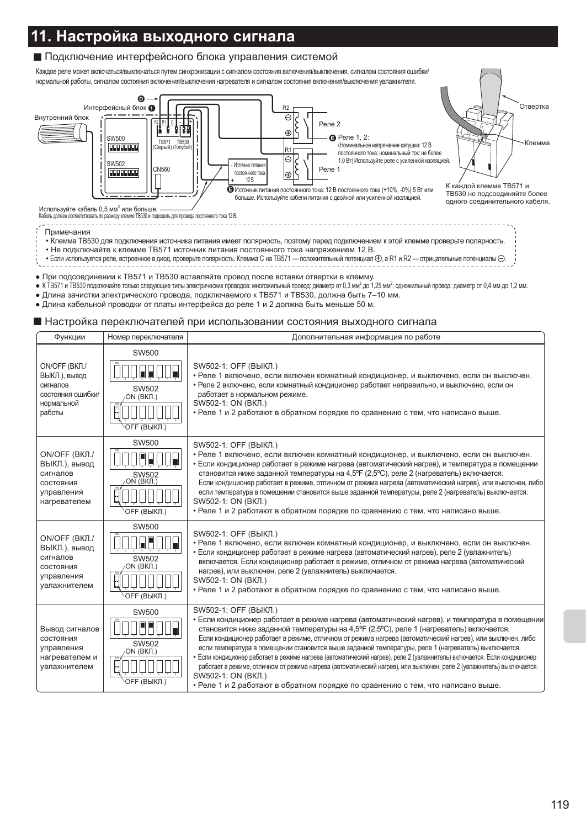## <u> 11. Настройка выходного сигнала</u>

### ■ Подключение интерфейсного блока управления системой

Каждое реле может включаться/выключаться путем синхронизации с сигналом состояния включения/выключения, сигналом состояния ошибки/ нормальной работы, сигналом состояния включения/выключения нагревателя и сигналом состояния включения/выключения увлажнителя.

![](_page_18_Figure_3.jpeg)

Кабель должен соответствовать по размеру клемме ТВ530 и подходить для провода постоянного тока 12 В.

- Примечания
- Клемма ТВ530 для подключения источника питания имеет полярность, поэтому перед подключением к этой клемме проверьте полярность.
- Не подключайте к клемме ТВ571 источник питания постоянного тока напряжением 12 В.
- Если используется реле, встроенное в диод, проверьте полярность. Клемма С на ТВ571 положительный потенциал  $\oplus$ , а R1 и R2 отрицательные потенциалы  $\ominus$ .
- При подсоединении к ТВ571 и ТВ530 вставляйте провод после вставки отвертки в клемму.
- К ТВ571 и ТВ530 подключайте только следующие типы электрических проводов: многожильный провод: диаметр от 0,3 мм<sup>2</sup> до 1,25 мм<sup>2</sup>; одножильный провод: диаметр от 0,4 мм до 1,2 мм.

<u>. . . . . . . . . . . . . . .</u>

- Длина зачистки электрического провода, подключаемого к ТВ571 и ТВ530, должна быть 7-10 мм.
- Длина кабельной проводки от платы интерфейса до реле 1 и 2 должна быть меньше 50 м.

### ■ Настройка переключателей при использовании состояния выходного сигнала

| Функции                                                                                  | Номер переключателя                                            | Дополнительная информация по работе                                                                                                                                                                                                                                                                                                                                                                                                                                                                                                                                                                                                                                                                                                                                                                    |
|------------------------------------------------------------------------------------------|----------------------------------------------------------------|--------------------------------------------------------------------------------------------------------------------------------------------------------------------------------------------------------------------------------------------------------------------------------------------------------------------------------------------------------------------------------------------------------------------------------------------------------------------------------------------------------------------------------------------------------------------------------------------------------------------------------------------------------------------------------------------------------------------------------------------------------------------------------------------------------|
| ON/OFF (BKJI./<br>ВЫКЛ.), вывод<br>сигналов<br>состояния ошибки/<br>нормальной<br>работы | <b>SW500</b><br>SW502<br>ON (BKJI.)<br><b>ОFF (ВЫКЛ.)</b>      | SW502-1: ОЕЕ (ВЫКЛ.)<br>• Реле 1 включено, если включен комнатный кондиционер, и выключено, если он выключен.<br>• Реле 2 включено, если комнатный кондиционер работает неправильно, и выключено, если он<br>работает в нормальном режиме.<br>SW502-1: ON (BKJI.)<br>• Реле 1 и 2 работают в обратном порядке по сравнению с тем, что написано выше.                                                                                                                                                                                                                                                                                                                                                                                                                                                   |
| ON/OFF (ВКЛ./<br>ВЫКЛ.), вывод<br>сигналов<br>СОСТОЯНИЯ<br>управления<br>нагревателем    | <b>SW500</b><br><b>SW502</b><br>ON (ВКЛ.<br><b>ОFF (ВЫКЛ.)</b> | SW502-1: ОЕЕ (ВЫКЛ.)<br>• Реле 1 включено, если включен комнатный кондиционер, и выключено, если он выключен.<br>• Если кондиционер работает в режиме нагрева (автоматический нагрев), и температура в помещении<br>становится ниже заданной температуры на 4,5°F (2,5°C), реле 2 (нагреватель) включается.<br>Если кондиционер работает в режиме, отличном от режима нагрева (автоматический нагрев), или выключен, либо<br>если температура в помещении становится выше заданной температуры, реле 2 (нагреватель) выключается.<br>SW502-1: ON (ВКЛ.)<br>• Реле 1 и 2 работают в обратном порядке по сравнению с тем, что написано выше.                                                                                                                                                             |
| ON/OFF (ВКЛ./<br>ВЫКЛ.), вывод<br>сигналов<br>СОСТОЯНИЯ<br>управления<br>увлажнителем    | <b>SW500</b><br>SW502<br>ON (ВКЛ.)<br><b>OFF (ВЫКЛ.)</b>       | SW502-1: ОFF (ВЫКЛ.)<br>• Реле 1 включено, если включен комнатный кондиционер, и выключено, если он выключен.<br>• Если кондиционер работает в режиме нагрева (автоматический нагрев), реле 2 (увлажнитель)<br>включается. Если кондиционер работает в режиме, отличном от режима нагрева (автоматический<br>нагрев), или выключен, реле 2 (увлажнитель) выключается.<br>SW502-1: ON (ВКЛ.)<br>• Реле 1 и 2 работают в обратном порядке по сравнению с тем, что написано выше.                                                                                                                                                                                                                                                                                                                         |
| Вывод сигналов<br>СОСТОЯНИЯ<br>управления<br>нагревателем и<br>увлажнителем              | <b>SW500</b><br>SW502<br>ON (ВКЛ.)<br>OFF (ВЫКЛ.)              | SW502-1: ОFF (ВЫКЛ.)<br>• Если кондиционер работает в режиме нагрева (автоматический нагрев), и температура в помещении<br>становится ниже заданной температуры на 4,5°F (2,5°C), реле 1 (нагреватель) включается.<br>Если кондиционер работает в режиме, отличном от режима нагрева (автоматический нагрев), или выключен, либо<br>если температура в помещении становится выше заданной температуры, реле 1 (нагреватель) выключается.<br>• Если кондиционер работает в режиме нагрева (автоматический нагрев), реле 2 (увлажнитель) включается. Если кондиционер<br>работает в режиме, отличном от режима нагрева (автоматический нагрев), или выключен, реле 2 (увлажнитель) выключается.<br>SW502-1: ON (ВКЛ.)<br>• Реле 1 и 2 работают в обратном порядке по сравнению с тем, что написано выше. |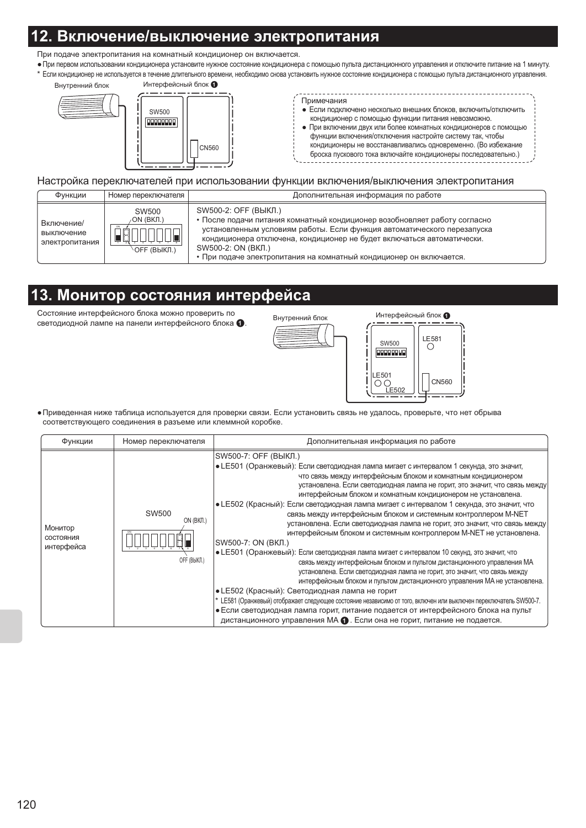## <u>Включение/выключение электропитания</u>

При подаче электропитания на комнатный кондиционер он включается

• При первом использовании кондиционера установите нужное состояние кондиционера с помощью пульта дистанционного управления и отключите питание на 1 минуту. \* Если кондиционер не используется в течение длительного времени, необходимо снова установить нужное состояние кондиционера с помощью пульта дистанционного управления.

![](_page_19_Figure_3.jpeg)

![](_page_19_Figure_4.jpeg)

Примечания • Если подключено несколько внешних блоков, включить/отключить

- кондиционер с помощью функции питания невозможно.
- При включении двух или более комнатных кондиционеров с помощью функции включения/отключения настройте систему так, чтобы кондиционеры не восстанавливались одновременно. (Во избежание броска пускового тока включайте кондиционеры последовательно.)

#### Настройка переключателей при использовании функции включения/выключения электропитания

| Функции                                    | Номер переключателя                             | Дополнительная информация по работе                                                                                                                                                                                                                                                                                                                 |
|--------------------------------------------|-------------------------------------------------|-----------------------------------------------------------------------------------------------------------------------------------------------------------------------------------------------------------------------------------------------------------------------------------------------------------------------------------------------------|
| Включение/<br>выключение<br>электропитания | SW500<br>/ON (ВКЛ.)<br>ON<br><b>OFF (ВЫКЛ.)</b> | SW500-2: ОЕЕ (ВЫКЛ.)<br>• После подачи питания комнатный кондиционер возобновляет работу согласно<br>установленным условиям работы. Если функция автоматического перезапуска<br>кондиционера отключена, кондиционер не будет включаться автоматически.<br>SW500-2: ON (BKJ.)<br>• При подаче электропитания на комнатный кондиционер он включается. |

### 13. Монитор состояния интерфейса

Состояние интерфейсного блока можно проверить по светодиодной лампе на панели интерфейсного блока •

![](_page_19_Figure_12.jpeg)

• Приведенная ниже таблица используется для проверки связи. Если установить связь не удалось, проверьте, что нет обрыва соответствующего соединения в разъеме или клеммной коробке.

| Функции                            | Номер переключателя                       | Дополнительная информация по работе                                                                                                                                                                                                                                                                                                                                                                                                                                                                                                                                                                                                                                                                                                                                                                                                                                                                                                                                                                                                                                                                                                                                                                                                                                                                                                                            |
|------------------------------------|-------------------------------------------|----------------------------------------------------------------------------------------------------------------------------------------------------------------------------------------------------------------------------------------------------------------------------------------------------------------------------------------------------------------------------------------------------------------------------------------------------------------------------------------------------------------------------------------------------------------------------------------------------------------------------------------------------------------------------------------------------------------------------------------------------------------------------------------------------------------------------------------------------------------------------------------------------------------------------------------------------------------------------------------------------------------------------------------------------------------------------------------------------------------------------------------------------------------------------------------------------------------------------------------------------------------------------------------------------------------------------------------------------------------|
| Монитор<br>СОСТОЯНИЯ<br>интерфейса | <b>SW500</b><br>ON (BKJI.)<br>OFF (BЫКЛ.) | SW500-7: ОЕЕ (ВЫКЛ.)<br>• LE501 (Оранжевый): Если светодиодная лампа мигает с интервалом 1 секунда, это значит,<br>что связь между интерфейсным блоком и комнатным кондиционером<br>установлена. Если светодиодная лампа не горит, это значит, что связь между<br>интерфейсным блоком и комнатным кондиционером не установлена.<br>• LE502 (Красный): Если светодиодная лампа мигает с интервалом 1 секунда, это значит, что<br>связь между интерфейсным блоком и системным контроллером M-NET<br>установлена. Если светодиодная лампа не горит, это значит, что связь между<br>интерфейсным блоком и системным контроллером M-NET не установлена.<br>SW500-7: ON (ВКЛ.)<br>• LE501 (Оранжевый): Если светодиодная лампа мигает с интервалом 10 секунд, это значит, что<br>связь между интерфейсным блоком и пультом дистанционного управления МА<br>установлена. Если светодиодная лампа не горит, это значит, что связь между<br>интерфейсным блоком и пультом дистанционного управления МА не установлена.<br>• LE502 (Красный): Светодиодная лампа не горит<br>* LE581 (Оранжевый) отображает следующее состояние независимо от того, включен или выключен переключатель SW500-7.<br>• Если светодиодная лампа горит, питание подается от интерфейсного блока на пульт<br>дистанционного управления МА $\bullet$ . Если она не горит, питание не подается. |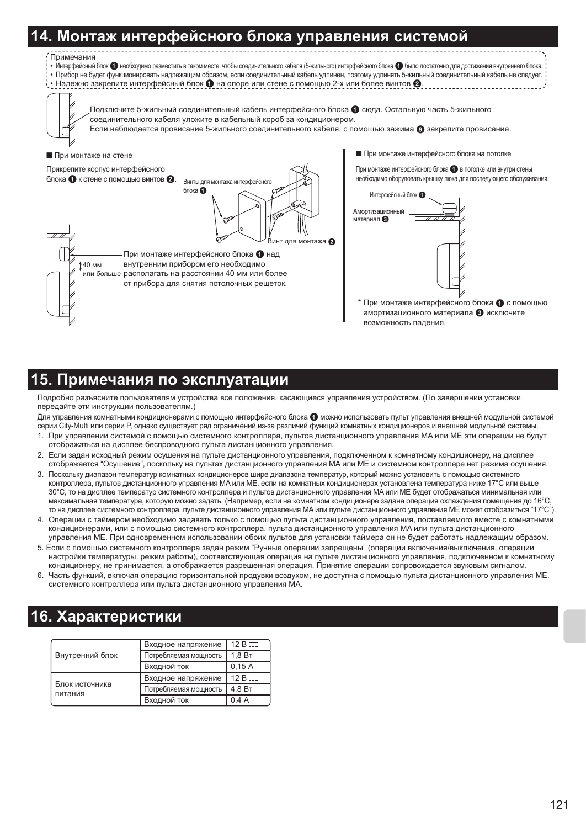### <u>Монтаж интерфейсного блока управления системой</u>

![](_page_20_Figure_1.jpeg)

 $B$ инт лля монтажа  $\Omega$ 

При монтаже интерфейсного блока  $\bullet$  с помощью амортизационного материала В исключите

возможность падения.

### 5. Примечания по эксплуатации

При монтаже интерфейсного блока • над

внутренним прибором его необходимо тили больше располагать на расстоянии 40 мм или более от прибора для снятия потолочных решеток.

Подробно разъясните пользователям устройства все положения, касающиеся управления устройством. (По завершении установки передайте эти инструкции пользователям.)

Для управления комнатными кондиционерами с помощью интерфейсного блока ● можно использовать пульт управления внешней модульной системой серии City-Multi или серии P, однако существует ряд ограничений из-за различий функций комнатных кондиционеров и внешней модульной системы.

- 1. При управлении системой с помощью системного контроллера, пультов дистанционного управления МА или МЕ эти операции не будут отображаться на дисплее беспроводного пульта дистанционного управления.
- 2. Если задан исходный режим осушения на пульте дистанционного управления, подключенном к комнатному кондиционеру, на дисплее отображается "Осушение", поскольку на пультах дистанционного управления МА или МЕ и системном контроллере нет режима осушения.
- 3. Поскольку диапазон температур комнатных кондиционеров шире диапазона температур, который можно установить с помощью системного контроллера, пультов дистанционного управления МА или МЕ, если на комнатных кондиционерах установлена температура ниже 17°С или выше 30°С, то на дисплее температур системного контроллера и пультов дистанционного управления МА или МЕ будет отображаться минимальная или максимальная температура, которую можно задать. (Например, если на комнатном кондиционере задана операция охлаждения помещения до 16°С, то на дисплее системного контроллера, пульте дистанционного управления MA или пульте дистанционного управления ME может отобразиться "17°С").
- 4. Операции с таймером необходимо задавать только с помощью пульта дистанционного управления, поставляемого вместе с комнатными кондиционерами, или с помощью системного контроллера, пульта дистанционного управления МА или пульта дистанционного управления МЕ. При одновременном использовании обоих пультов для установки таймера он не будет работать надлежащим образом.
- 5. Если с помощью системного контроллера задан режим "Ручные операции запрещены" (операции включения/выключения, операции настройки температуры, режим работы), соответствующая операция на пульте дистанционного управления, подключенном к комнатному кондиционеру, не принимается, а отображается разрешенная операция. Принятие операции сопровождается звуковым сигналом.
- 6. Часть функций, включая операцию горизонтальной продувки воздухом, не доступна с помощью пульта дистанционного управления МЕ, системного контроллера или пульта дистанционного управления МА.

### 6. Характеристики

 $\overline{140}$  MM

|                           | Входное напряжение    | $12B -$            |
|---------------------------|-----------------------|--------------------|
| Внутренний блок           | Потребляемая мощность | 1.8 B <sub>T</sub> |
|                           | Входной ток           | 0.15A              |
|                           | Входное напряжение    | $12B -$            |
| Блок источника<br>питания | Потребляемая мощность | 4,8 BT             |
|                           | Входной ток           | 0.4A               |